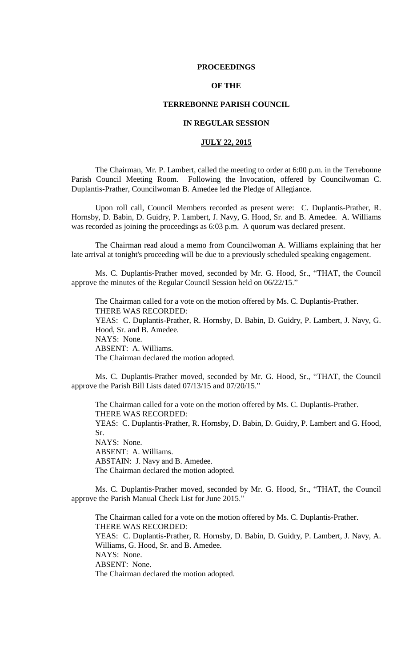### **PROCEEDINGS**

# **OF THE**

## **TERREBONNE PARISH COUNCIL**

# **IN REGULAR SESSION**

# **JULY 22, 2015**

The Chairman, Mr. P. Lambert, called the meeting to order at 6:00 p.m. in the Terrebonne Parish Council Meeting Room. Following the Invocation, offered by Councilwoman C. Duplantis-Prather, Councilwoman B. Amedee led the Pledge of Allegiance.

Upon roll call, Council Members recorded as present were: C. Duplantis-Prather, R. Hornsby, D. Babin, D. Guidry, P. Lambert, J. Navy, G. Hood, Sr. and B. Amedee. A. Williams was recorded as joining the proceedings as 6:03 p.m. A quorum was declared present.

The Chairman read aloud a memo from Councilwoman A. Williams explaining that her late arrival at tonight's proceeding will be due to a previously scheduled speaking engagement.

Ms. C. Duplantis-Prather moved, seconded by Mr. G. Hood, Sr., "THAT, the Council approve the minutes of the Regular Council Session held on 06/22/15."

The Chairman called for a vote on the motion offered by Ms. C. Duplantis-Prather. THERE WAS RECORDED: YEAS: C. Duplantis-Prather, R. Hornsby, D. Babin, D. Guidry, P. Lambert, J. Navy, G. Hood, Sr. and B. Amedee. NAYS: None. ABSENT: A. Williams. The Chairman declared the motion adopted.

Ms. C. Duplantis-Prather moved, seconded by Mr. G. Hood, Sr., "THAT, the Council approve the Parish Bill Lists dated 07/13/15 and 07/20/15."

The Chairman called for a vote on the motion offered by Ms. C. Duplantis-Prather. THERE WAS RECORDED: YEAS: C. Duplantis-Prather, R. Hornsby, D. Babin, D. Guidry, P. Lambert and G. Hood, Sr. NAYS: None. ABSENT: A. Williams. ABSTAIN: J. Navy and B. Amedee. The Chairman declared the motion adopted.

Ms. C. Duplantis-Prather moved, seconded by Mr. G. Hood, Sr., "THAT, the Council approve the Parish Manual Check List for June 2015."

The Chairman called for a vote on the motion offered by Ms. C. Duplantis-Prather. THERE WAS RECORDED: YEAS: C. Duplantis-Prather, R. Hornsby, D. Babin, D. Guidry, P. Lambert, J. Navy, A. Williams, G. Hood, Sr. and B. Amedee. NAYS: None. ABSENT: None. The Chairman declared the motion adopted.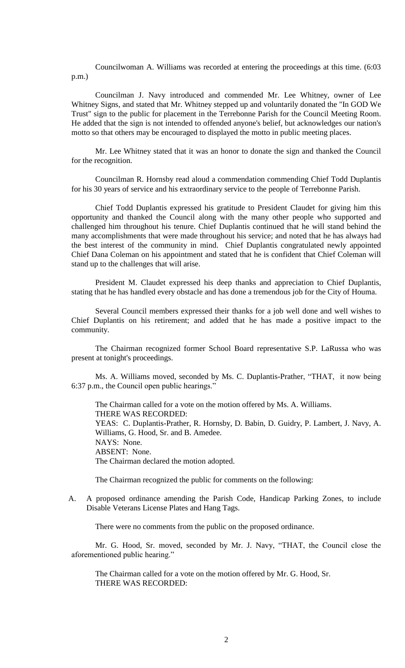Councilwoman A. Williams was recorded at entering the proceedings at this time. (6:03 p.m.)

Councilman J. Navy introduced and commended Mr. Lee Whitney, owner of Lee Whitney Signs, and stated that Mr. Whitney stepped up and voluntarily donated the "In GOD We Trust" sign to the public for placement in the Terrebonne Parish for the Council Meeting Room. He added that the sign is not intended to offended anyone's belief, but acknowledges our nation's motto so that others may be encouraged to displayed the motto in public meeting places.

Mr. Lee Whitney stated that it was an honor to donate the sign and thanked the Council for the recognition.

Councilman R. Hornsby read aloud a commendation commending Chief Todd Duplantis for his 30 years of service and his extraordinary service to the people of Terrebonne Parish.

Chief Todd Duplantis expressed his gratitude to President Claudet for giving him this opportunity and thanked the Council along with the many other people who supported and challenged him throughout his tenure. Chief Duplantis continued that he will stand behind the many accomplishments that were made throughout his service; and noted that he has always had the best interest of the community in mind. Chief Duplantis congratulated newly appointed Chief Dana Coleman on his appointment and stated that he is confident that Chief Coleman will stand up to the challenges that will arise.

President M. Claudet expressed his deep thanks and appreciation to Chief Duplantis, stating that he has handled every obstacle and has done a tremendous job for the City of Houma.

Several Council members expressed their thanks for a job well done and well wishes to Chief Duplantis on his retirement; and added that he has made a positive impact to the community.

The Chairman recognized former School Board representative S.P. LaRussa who was present at tonight's proceedings.

Ms. A. Williams moved, seconded by Ms. C. Duplantis-Prather, "THAT, it now being 6:37 p.m., the Council open public hearings."

The Chairman called for a vote on the motion offered by Ms. A. Williams. THERE WAS RECORDED: YEAS: C. Duplantis-Prather, R. Hornsby, D. Babin, D. Guidry, P. Lambert, J. Navy, A. Williams, G. Hood, Sr. and B. Amedee. NAYS: None. ABSENT: None. The Chairman declared the motion adopted.

The Chairman recognized the public for comments on the following:

A. A proposed ordinance amending the Parish Code, Handicap Parking Zones, to include Disable Veterans License Plates and Hang Tags.

There were no comments from the public on the proposed ordinance.

Mr. G. Hood, Sr. moved, seconded by Mr. J. Navy, "THAT, the Council close the aforementioned public hearing."

The Chairman called for a vote on the motion offered by Mr. G. Hood, Sr. THERE WAS RECORDED: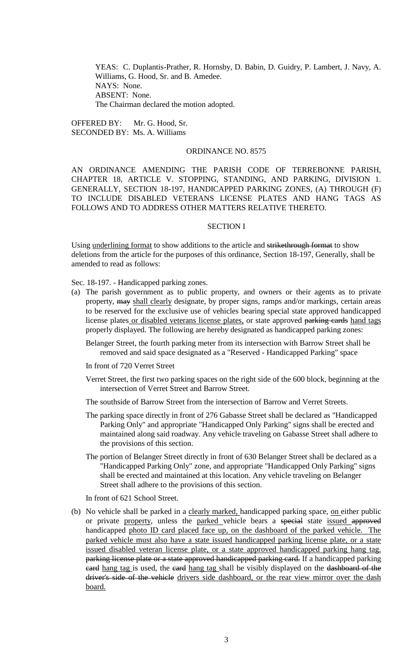YEAS: C. Duplantis-Prather, R. Hornsby, D. Babin, D. Guidry, P. Lambert, J. Navy, A. Williams, G. Hood, Sr. and B. Amedee. NAYS: None. ABSENT: None. The Chairman declared the motion adopted.

OFFERED BY: Mr. G. Hood, Sr. SECONDED BY: Ms. A. Williams

## ORDINANCE NO. 8575

AN ORDINANCE AMENDING THE PARISH CODE OF TERREBONNE PARISH, CHAPTER 18, ARTICLE V. STOPPING, STANDING, AND PARKING, DIVISION 1. GENERALLY, SECTION 18-197, HANDICAPPED PARKING ZONES, (A) THROUGH (F) TO INCLUDE DISABLED VETERANS LICENSE PLATES AND HANG TAGS AS FOLLOWS AND TO ADDRESS OTHER MATTERS RELATIVE THERETO.

### SECTION I

Using underlining format to show additions to the article and strikethrough format to show deletions from the article for the purposes of this ordinance, Section 18-197, Generally, shall be amended to read as follows:

Sec. 18-197. - Handicapped parking zones.

- (a) The parish government as to public property, and owners or their agents as to private property, may shall clearly designate, by proper signs, ramps and/or markings, certain areas to be reserved for the exclusive use of vehicles bearing special state approved handicapped license plates or disabled veterans license plates, or state approved parking cards hand tags properly displayed. The following are hereby designated as handicapped parking zones:
	- Belanger Street, the fourth parking meter from its intersection with Barrow Street shall be removed and said space designated as a "Reserved - Handicapped Parking" space
	- In front of 720 Verret Street
	- Verret Street, the first two parking spaces on the right side of the 600 block, beginning at the intersection of Verret Street and Barrow Street.
	- The southside of Barrow Street from the intersection of Barrow and Verret Streets.
	- The parking space directly in front of 276 Gabasse Street shall be declared as "Handicapped Parking Only" and appropriate "Handicapped Only Parking" signs shall be erected and maintained along said roadway. Any vehicle traveling on Gabasse Street shall adhere to the provisions of this section.
	- The portion of Belanger Street directly in front of 630 Belanger Street shall be declared as a "Handicapped Parking Only" zone, and appropriate "Handicapped Only Parking" signs shall be erected and maintained at this location. Any vehicle traveling on Belanger Street shall adhere to the provisions of this section.

In front of 621 School Street.

(b) No vehicle shall be parked in a clearly marked, handicapped parking space, on either public or private property, unless the parked vehicle bears a special state issued approved handicapped photo ID card placed face up, on the dashboard of the parked vehicle. The parked vehicle must also have a state issued handicapped parking license plate, or a state issued disabled veteran license plate, or a state approved handicapped parking hang tag. parking license plate or a state approved handicapped parking card. If a handicapped parking eard hang tag is used, the eard hang tag shall be visibly displayed on the dashboard of the driver's side of the vehicle drivers side dashboard, or the rear view mirror over the dash board.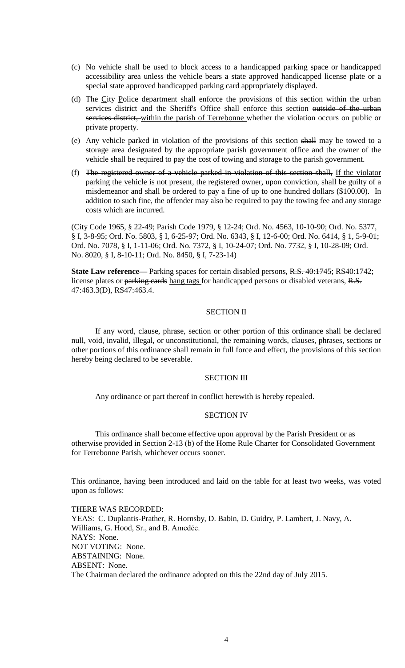- (c) No vehicle shall be used to block access to a handicapped parking space or handicapped accessibility area unless the vehicle bears a state approved handicapped license plate or a special state approved handicapped parking card appropriately displayed.
- (d) The City Police department shall enforce the provisions of this section within the urban services district and the Sheriff's Office shall enforce this section outside of the urban services district, within the parish of Terrebonne whether the violation occurs on public or private property.
- (e) Any vehicle parked in violation of the provisions of this section shall may be towed to a storage area designated by the appropriate parish government office and the owner of the vehicle shall be required to pay the cost of towing and storage to the parish government.
- (f) The registered owner of a vehicle parked in violation of this section shall, If the violator parking the vehicle is not present, the registered owner, upon conviction, shall be guilty of a misdemeanor and shall be ordered to pay a fine of up to one hundred dollars (\$100.00). In addition to such fine, the offender may also be required to pay the towing fee and any storage costs which are incurred.

(City Code 1965, § 22-49; Parish Code 1979, § 12-24; Ord. No. 4563, 10-10-90; Ord. No. 5377, § I, 3-8-95; Ord. No. 5803, § I, 6-25-97; Ord. No. 6343, § I, 12-6-00; Ord. No. 6414, § 1, 5-9-01; Ord. No. 7078, § I, 1-11-06; Ord. No. 7372, § I, 10-24-07; Ord. No. 7732, § I, 10-28-09; Ord. No. 8020, § I, 8-10-11; Ord. No. 8450, § I, 7-23-14)

**State Law reference—** Parking spaces for certain disabled persons, R.S. 40:1745; RS40:1742; license plates or parking cards hang tags for handicapped persons or disabled veterans, R.S. 47:463.3(D), RS47:463.4.

# SECTION II

If any word, clause, phrase, section or other portion of this ordinance shall be declared null, void, invalid, illegal, or unconstitutional, the remaining words, clauses, phrases, sections or other portions of this ordinance shall remain in full force and effect, the provisions of this section hereby being declared to be severable.

# SECTION III

Any ordinance or part thereof in conflict herewith is hereby repealed.

### SECTION IV

This ordinance shall become effective upon approval by the Parish President or as otherwise provided in Section 2-13 (b) of the Home Rule Charter for Consolidated Government for Terrebonne Parish, whichever occurs sooner.

This ordinance, having been introduced and laid on the table for at least two weeks, was voted upon as follows:

THERE WAS RECORDED: YEAS: C. Duplantis-Prather, R. Hornsby, D. Babin, D. Guidry, P. Lambert, J. Navy, A. Williams, G. Hood, Sr., and B. Amedẻe. NAYS: None. NOT VOTING: None. ABSTAINING: None. ABSENT: None. The Chairman declared the ordinance adopted on this the 22nd day of July 2015.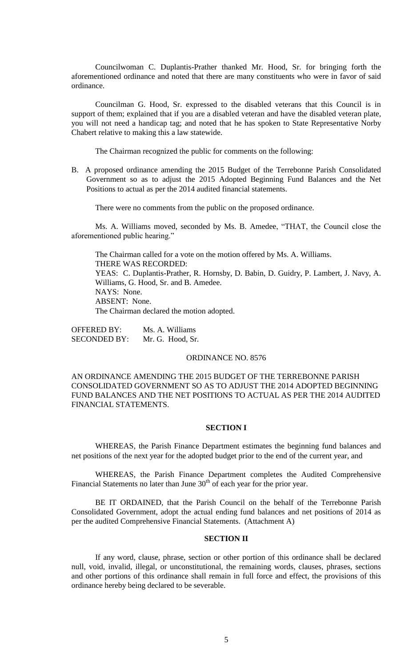Councilwoman C. Duplantis-Prather thanked Mr. Hood, Sr. for bringing forth the aforementioned ordinance and noted that there are many constituents who were in favor of said ordinance.

Councilman G. Hood, Sr. expressed to the disabled veterans that this Council is in support of them; explained that if you are a disabled veteran and have the disabled veteran plate, you will not need a handicap tag; and noted that he has spoken to State Representative Norby Chabert relative to making this a law statewide.

The Chairman recognized the public for comments on the following:

B. A proposed ordinance amending the 2015 Budget of the Terrebonne Parish Consolidated Government so as to adjust the 2015 Adopted Beginning Fund Balances and the Net Positions to actual as per the 2014 audited financial statements.

There were no comments from the public on the proposed ordinance.

Ms. A. Williams moved, seconded by Ms. B. Amedee, "THAT, the Council close the aforementioned public hearing."

The Chairman called for a vote on the motion offered by Ms. A. Williams. THERE WAS RECORDED: YEAS: C. Duplantis-Prather, R. Hornsby, D. Babin, D. Guidry, P. Lambert, J. Navy, A. Williams, G. Hood, Sr. and B. Amedee. NAYS: None. ABSENT: None. The Chairman declared the motion adopted.

OFFERED BY: Ms. A. Williams SECONDED BY: Mr. G. Hood, Sr.

#### ORDINANCE NO. 8576

AN ORDINANCE AMENDING THE 2015 BUDGET OF THE TERREBONNE PARISH CONSOLIDATED GOVERNMENT SO AS TO ADJUST THE 2014 ADOPTED BEGINNING FUND BALANCES AND THE NET POSITIONS TO ACTUAL AS PER THE 2014 AUDITED FINANCIAL STATEMENTS.

## **SECTION I**

WHEREAS, the Parish Finance Department estimates the beginning fund balances and net positions of the next year for the adopted budget prior to the end of the current year, and

WHEREAS, the Parish Finance Department completes the Audited Comprehensive Financial Statements no later than June  $30<sup>th</sup>$  of each year for the prior year.

BE IT ORDAINED, that the Parish Council on the behalf of the Terrebonne Parish Consolidated Government, adopt the actual ending fund balances and net positions of 2014 as per the audited Comprehensive Financial Statements. (Attachment A)

### **SECTION II**

If any word, clause, phrase, section or other portion of this ordinance shall be declared null, void, invalid, illegal, or unconstitutional, the remaining words, clauses, phrases, sections and other portions of this ordinance shall remain in full force and effect, the provisions of this ordinance hereby being declared to be severable.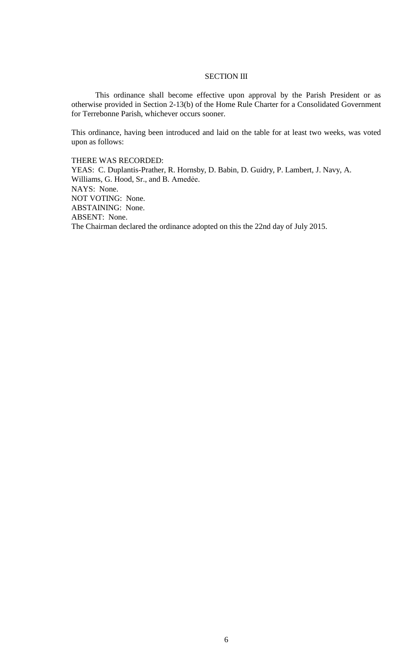# **SECTION III**

This ordinance shall become effective upon approval by the Parish President or as otherwise provided in Section 2-13(b) of the Home Rule Charter for a Consolidated Government for Terrebonne Parish, whichever occurs sooner.

This ordinance, having been introduced and laid on the table for at least two weeks, was voted upon as follows:

THERE WAS RECORDED:

YEAS: C. Duplantis-Prather, R. Hornsby, D. Babin, D. Guidry, P. Lambert, J. Navy, A. Williams, G. Hood, Sr., and B. Amedee. NAYS: None. NOT VOTING: None. ABSTAINING: None. ABSENT: None. The Chairman declared the ordinance adopted on this the 22nd day of July 2015.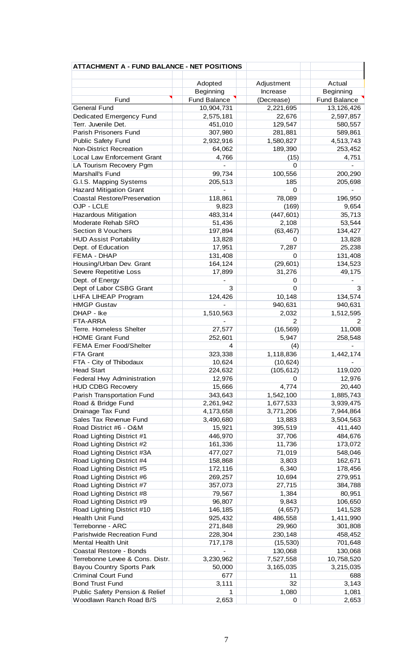| <b>ATTACHMENT A - FUND BALANCE - NET POSITIONS</b>     |                     |                |                    |
|--------------------------------------------------------|---------------------|----------------|--------------------|
|                                                        |                     |                |                    |
|                                                        | Adopted             | Adjustment     | Actual             |
|                                                        | Beginning           | Increase       | Beginning          |
| Fund                                                   | <b>Fund Balance</b> | (Decrease)     | Fund Balance       |
| <b>General Fund</b>                                    | 10,904,731          | 2,221,695      | 13,126,426         |
| Dedicated Emergency Fund                               | 2,575,181           | 22,676         | 2,597,857          |
| Terr. Juvenile Det.                                    | 451,010             | 129,547        | 580,557            |
| Parish Prisoners Fund                                  | 307,980             | 281,881        | 589,861            |
| <b>Public Safety Fund</b>                              | 2,932,916           | 1,580,827      | 4,513,743          |
| <b>Non-District Recreation</b>                         | 64,062              | 189,390        | 253,452            |
| Local Law Enforcement Grant                            | 4,766               | (15)           | 4,751              |
| LA Tourism Recovery Pgm<br>Marshall's Fund             | 99,734              | 0<br>100,556   |                    |
| G.I.S. Mapping Systems                                 | 205,513             | 185            | 200,290<br>205,698 |
| <b>Hazard Mitigation Grant</b>                         |                     | 0              |                    |
| Coastal Restore/Preservation                           | 118,861             | 78,089         | 196,950            |
| OJP - LCLE                                             | 9,823               | (169)          | 9,654              |
| Hazardous Mitigation                                   | 483,314             | (447, 601)     | 35,713             |
| Moderate Rehab SRO                                     | 51,436              | 2,108          | 53,544             |
| Section 8 Vouchers                                     | 197,894             | (63, 467)      | 134,427            |
| <b>HUD Assist Portability</b>                          | 13,828              | 0              | 13,828             |
| Dept. of Education                                     | 17,951              | 7,287          | 25,238             |
| FEMA - DHAP                                            | 131,408             | 0              | 131,408            |
| Housing/Urban Dev. Grant                               | 164,124             | (29, 601)      | 134,523            |
| Severe Repetitive Loss                                 | 17,899              | 31,276         | 49,175             |
| Dept. of Energy                                        |                     | 0              |                    |
| Dept of Labor CSBG Grant                               | 3                   | 0              | 3                  |
| LHFA LIHEAP Program                                    | 124,426             | 10,148         | 134,574            |
| <b>HMGP Gustav</b>                                     |                     | 940,631        | 940,631            |
| DHAP - Ike                                             | 1,510,563           | 2,032          | 1,512,595          |
| FTA-ARRA                                               |                     | 2              | 2                  |
| Terre. Homeless Shelter                                | 27,577              | (16, 569)      | 11,008             |
| <b>HOME Grant Fund</b>                                 | 252,601             | 5,947          | 258,548            |
| <b>FEMA Emer Food/Shelter</b>                          | 4                   | (4)            |                    |
| FTA Grant                                              | 323,338             | 1,118,836      | 1,442,174          |
| FTA - City of Thibodaux                                | 10,624              | (10, 624)      |                    |
| <b>Head Start</b>                                      | 224,632             | (105, 612)     | 119,020            |
| <b>Federal Hwy Administration</b>                      | 12,976              | 0              | 12,976             |
| <b>HUD CDBG Recovery</b>                               | 15,666              | 4,774          | 20,440             |
| Parish Transportation Fund                             | 343,643             | 1,542,100      | 1,885,743          |
| Road & Bridge Fund                                     | 2,261,942           | 1,677,533      | 3,939,475          |
| Drainage Tax Fund                                      | 4,173,658           | 3,771,206      | 7,944,864          |
| Sales Tax Revenue Fund                                 | 3,490,680           | 13,883         | 3,504,563          |
| Road District #6 - O&M                                 | 15,921              | 395,519        | 411,440            |
| Road Lighting District #1                              | 446,970             | 37,706         | 484,676            |
| Road Lighting District #2                              | 161,336             | 11,736         | 173,072            |
| Road Lighting District #3A                             | 477,027             | 71,019         | 548,046            |
| Road Lighting District #4<br>Road Lighting District #5 | 158,868<br>172,116  | 3,803<br>6,340 | 162,671<br>178,456 |
| Road Lighting District #6                              | 269,257             | 10,694         | 279,951            |
| Road Lighting District #7                              | 357,073             | 27,715         | 384,788            |
| Road Lighting District #8                              | 79,567              | 1,384          | 80,951             |
| Road Lighting District #9                              | 96,807              | 9,843          | 106,650            |
| Road Lighting District #10                             | 146,185             | (4,657)        | 141,528            |
| Health Unit Fund                                       | 925,432             | 486,558        | 1,411,990          |
| Terrebonne - ARC                                       | 271,848             | 29,960         | 301,808            |
| Parishwide Recreation Fund                             | 228,304             | 230,148        | 458,452            |
| Mental Health Unit                                     | 717,178             | (15, 530)      | 701,648            |
| Coastal Restore - Bonds                                |                     | 130,068        | 130,068            |
| Terrebonne Levee & Cons. Distr.                        | 3,230,962           | 7,527,558      | 10,758,520         |
| <b>Bayou Country Sports Park</b>                       | 50,000              | 3,165,035      | 3,215,035          |
| <b>Criminal Court Fund</b>                             | 677                 | 11             | 688                |
| <b>Bond Trust Fund</b>                                 | 3,111               | 32             | 3,143              |
| Public Safety Pension & Relief                         | 1                   | 1,080          | 1,081              |
| Woodlawn Ranch Road B/S                                | 2,653               | 0              | 2,653              |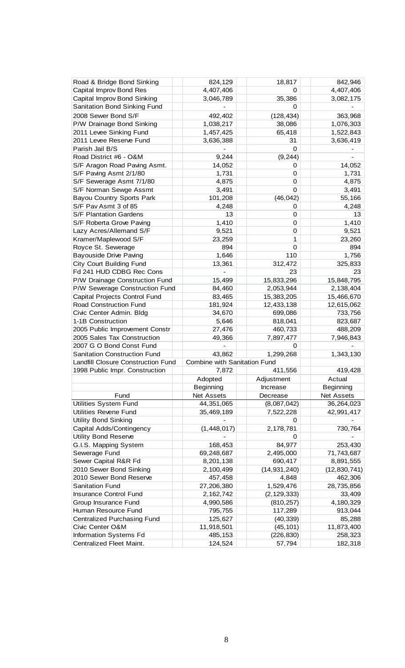| Road & Bridge Bond Sinking         | 824,129                      | 18,817         | 842,946          |
|------------------------------------|------------------------------|----------------|------------------|
| Capital Improv Bond Res            | 4,407,406                    | 0              | 4,407,406        |
| Capital Improv Bond Sinking        | 3,046,789                    | 35,386         | 3,082,175        |
| Sanitation Bond Sinking Fund       |                              | 0              |                  |
| 2008 Sewer Bond S/F                | 492,402                      | (128, 434)     | 363,968          |
| P/W Drainage Bond Sinking          | 1,038,217                    | 38,086         | 1,076,303        |
| 2011 Levee Sinking Fund            | 1,457,425                    | 65,418         | 1,522,843        |
| 2011 Levee Reserve Fund            | 3,636,388                    | 31             | 3,636,419        |
| Parish Jail B/S                    |                              | 0              |                  |
| Road District #6 - O&M             | 9,244                        | (9, 244)       |                  |
| S/F Aragon Road Paving Asmt.       | 14,052                       | 0              | 14,052           |
| S/F Paving Asmt 2/1/80             | 1,731                        | 0              | 1,731            |
| S/F Sewerage Asmt 7/1/80           | 4,875                        | 0              | 4,875            |
| S/F Norman Sewge Assmt             | 3,491                        | 0              | 3,491            |
| <b>Bayou Country Sports Park</b>   | 101,208                      | (46, 042)      | 55,166           |
| S/F Pav Asmt 3 of 85               | 4,248                        | 0              | 4,248            |
| S/F Plantation Gardens             | 13                           | 0              | 13               |
| S/F Roberta Grove Paving           | 1,410                        | 0              | 1,410            |
| Lazy Acres/Allemand S/F            | 9,521                        | 0              | 9,521            |
| Kramer/Maplewood S/F               | 23,259                       | 1              | 23,260           |
| Royce St. Sewerage                 | 894                          | 0              | 894              |
| <b>Bayouside Drive Paving</b>      | 1,646                        | 110            |                  |
| City Court Building Fund           | 13,361                       | 312,472        | 1,756<br>325,833 |
| Fd 241 HUD CDBG Rec Cons           |                              | 23             | 23               |
|                                    |                              |                |                  |
| P/W Drainage Construction Fund     | 15,499                       | 15,833,296     | 15,848,795       |
| P/W Sewerage Construction Fund     | 84,460                       | 2,053,944      | 2,138,404        |
| Capital Projects Control Fund      | 83,465                       | 15,383,205     | 15,466,670       |
| Road Construction Fund             | 181,924                      | 12,433,138     | 12,615,062       |
| Civic Center Admin. Bldg           | 34,670                       | 699,086        | 733,756          |
| 1-1B Construction                  | 5,646                        | 818,041        | 823,687          |
| 2005 Public Improvement Constr     | 27,476                       | 460,733        | 488,209          |
| 2005 Sales Tax Construction        | 49,366                       | 7,897,477      | 7,946,843        |
| 2007 G O Bond Const Fund           |                              | 0              |                  |
| Sanitation Construction Fund       | 43,862                       | 1,299,268      | 1,343,130        |
| Landfill Closure Construction Fund | Combine with Sanitation Fund |                |                  |
| 1998 Public Impr. Construction     | 7,872                        | 411,556        | 419,428          |
|                                    | Adopted                      | Adjustment     | Actual           |
|                                    | Beginning                    | Increase       | Beginning        |
| Fund                               | Net Assets                   | Decrease       | Net Assets       |
| <b>Utilities System Fund</b>       | 44,351,065                   | (8,087,042)    | 36,264,023       |
| Utilities Revene Fund              | 35,469,189                   | 7,522,228      | 42,991,417       |
| <b>Utility Bond Sinking</b>        |                              | 0              |                  |
| Capital Adds/Contingency           | (1,448,017)                  | 2,178,781      | 730,764          |
| <b>Utility Bond Reserve</b>        |                              | 0              |                  |
| G.I.S. Mapping System              | 168,453                      | 84,977         | 253,430          |
| Sewerage Fund                      | 69,248,687                   | 2,495,000      | 71,743,687       |
| Sewer Capital R&R Fd               | 8,201,138                    | 690,417        | 8,891,555        |
| 2010 Sewer Bond Sinking            | 2,100,499                    | (14, 931, 240) | (12, 830, 741)   |
| 2010 Sewer Bond Reserve            | 457,458                      | 4,848          | 462,306          |
| <b>Sanitation Fund</b>             | 27,206,380                   | 1,529,476      | 28,735,856       |
| <b>Insurance Control Fund</b>      | 2,162,742                    | (2, 129, 333)  | 33,409           |
| Group Insurance Fund               | 4,990,586                    | (810, 257)     | 4,180,329        |
| Human Resource Fund                | 795,755                      | 117,289        | 913,044          |
| <b>Centralized Purchasing Fund</b> | 125,627                      | (40, 339)      | 85,288           |
| Civic Center O&M                   | 11,918,501                   | (45, 101)      | 11,873,400       |
| Information Systems Fd             | 485,153                      | (226, 830)     | 258,323          |
| Centralized Fleet Maint.           | 124,524                      | 57,794         | 182,318          |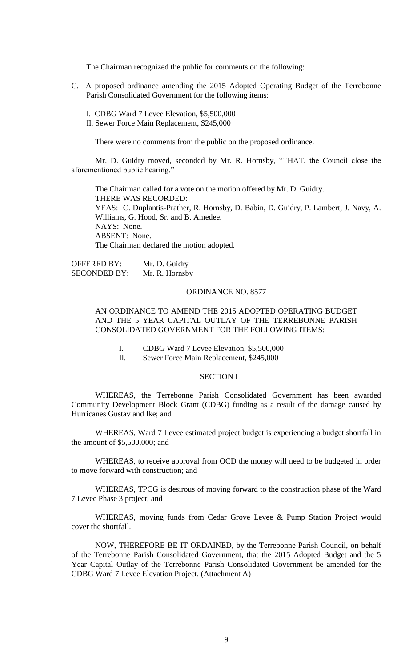The Chairman recognized the public for comments on the following:

- C. A proposed ordinance amending the 2015 Adopted Operating Budget of the Terrebonne Parish Consolidated Government for the following items:
	- I. CDBG Ward 7 Levee Elevation, \$5,500,000
	- II. Sewer Force Main Replacement, \$245,000

There were no comments from the public on the proposed ordinance.

Mr. D. Guidry moved, seconded by Mr. R. Hornsby, "THAT, the Council close the aforementioned public hearing."

The Chairman called for a vote on the motion offered by Mr. D. Guidry. THERE WAS RECORDED: YEAS: C. Duplantis-Prather, R. Hornsby, D. Babin, D. Guidry, P. Lambert, J. Navy, A. Williams, G. Hood, Sr. and B. Amedee. NAYS: None. ABSENT: None. The Chairman declared the motion adopted.

OFFERED BY: Mr. D. Guidry SECONDED BY: Mr. R. Hornsby

### ORDINANCE NO. 8577

# AN ORDINANCE TO AMEND THE 2015 ADOPTED OPERATING BUDGET AND THE 5 YEAR CAPITAL OUTLAY OF THE TERREBONNE PARISH CONSOLIDATED GOVERNMENT FOR THE FOLLOWING ITEMS:

- I. CDBG Ward 7 Levee Elevation, \$5,500,000
- II. Sewer Force Main Replacement, \$245,000

# SECTION I

WHEREAS, the Terrebonne Parish Consolidated Government has been awarded Community Development Block Grant (CDBG) funding as a result of the damage caused by Hurricanes Gustav and Ike; and

WHEREAS, Ward 7 Levee estimated project budget is experiencing a budget shortfall in the amount of \$5,500,000; and

WHEREAS, to receive approval from OCD the money will need to be budgeted in order to move forward with construction; and

WHEREAS, TPCG is desirous of moving forward to the construction phase of the Ward 7 Levee Phase 3 project; and

WHEREAS, moving funds from Cedar Grove Levee & Pump Station Project would cover the shortfall.

NOW, THEREFORE BE IT ORDAINED, by the Terrebonne Parish Council, on behalf of the Terrebonne Parish Consolidated Government, that the 2015 Adopted Budget and the 5 Year Capital Outlay of the Terrebonne Parish Consolidated Government be amended for the CDBG Ward 7 Levee Elevation Project. (Attachment A)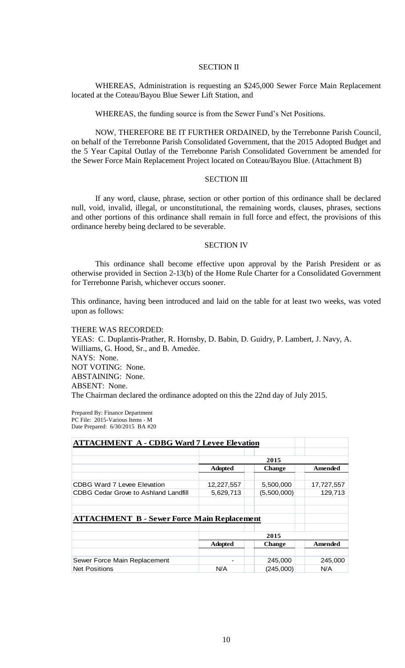### SECTION II

WHEREAS, Administration is requesting an \$245,000 Sewer Force Main Replacement located at the Coteau/Bayou Blue Sewer Lift Station, and

WHEREAS, the funding source is from the Sewer Fund's Net Positions.

NOW, THEREFORE BE IT FURTHER ORDAINED, by the Terrebonne Parish Council, on behalf of the Terrebonne Parish Consolidated Government, that the 2015 Adopted Budget and the 5 Year Capital Outlay of the Terrebonne Parish Consolidated Government be amended for the Sewer Force Main Replacement Project located on Coteau/Bayou Blue. (Attachment B)

# SECTION III

If any word, clause, phrase, section or other portion of this ordinance shall be declared null, void, invalid, illegal, or unconstitutional, the remaining words, clauses, phrases, sections and other portions of this ordinance shall remain in full force and effect, the provisions of this ordinance hereby being declared to be severable.

#### SECTION IV

This ordinance shall become effective upon approval by the Parish President or as otherwise provided in Section 2-13(b) of the Home Rule Charter for a Consolidated Government for Terrebonne Parish, whichever occurs sooner.

This ordinance, having been introduced and laid on the table for at least two weeks, was voted upon as follows:

THERE WAS RECORDED: YEAS: C. Duplantis-Prather, R. Hornsby, D. Babin, D. Guidry, P. Lambert, J. Navy, A. Williams, G. Hood, Sr., and B. Amedée. NAYS: None. NOT VOTING: None. ABSTAINING: None. ABSENT: None. The Chairman declared the ordinance adopted on this the 22nd day of July 2015.

Prepared By: Finance Department PC File: 2015-Various Items - M Date Prepared: 6/30/2015 BA #20

| <b>ATTACHMENT A - CDBG Ward 7 Levee Elevation</b>  |                |               |            |  |  |
|----------------------------------------------------|----------------|---------------|------------|--|--|
|                                                    |                |               |            |  |  |
|                                                    | 2015           |               |            |  |  |
|                                                    | <b>Adopted</b> | <b>Change</b> | Amended    |  |  |
| CDBG Ward 7 Levee Elevation                        | 12,227,557     | 5,500,000     | 17,727,557 |  |  |
| <b>CDBG Cedar Grove to Ashland Landfill</b>        | 5,629,713      | (5,500,000)   | 129.713    |  |  |
|                                                    |                |               |            |  |  |
|                                                    |                |               |            |  |  |
| <b>ATTACHMENT B - Sewer Force Main Replacement</b> |                |               |            |  |  |
|                                                    |                |               |            |  |  |
|                                                    | 2015           |               |            |  |  |
|                                                    | <b>Adopted</b> | <b>Change</b> | Amended    |  |  |
|                                                    |                |               |            |  |  |
| Sewer Force Main Replacement                       |                | 245,000       | 245,000    |  |  |
| <b>Net Positions</b>                               | N/A            | (245,000)     | N/A        |  |  |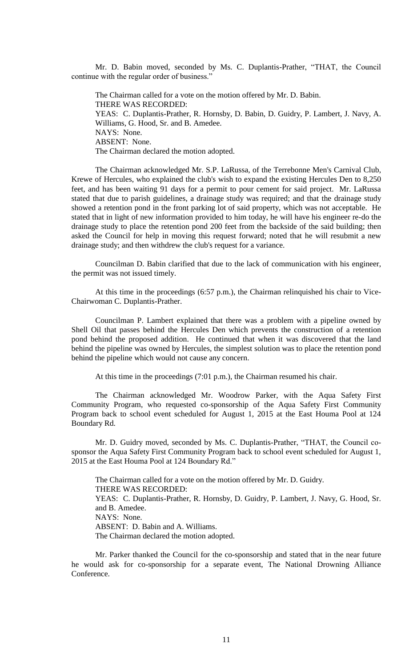Mr. D. Babin moved, seconded by Ms. C. Duplantis-Prather, "THAT, the Council continue with the regular order of business."

The Chairman called for a vote on the motion offered by Mr. D. Babin. THERE WAS RECORDED: YEAS: C. Duplantis-Prather, R. Hornsby, D. Babin, D. Guidry, P. Lambert, J. Navy, A. Williams, G. Hood, Sr. and B. Amedee. NAYS: None. ABSENT: None. The Chairman declared the motion adopted.

The Chairman acknowledged Mr. S.P. LaRussa, of the Terrebonne Men's Carnival Club, Krewe of Hercules, who explained the club's wish to expand the existing Hercules Den to 8,250 feet, and has been waiting 91 days for a permit to pour cement for said project. Mr. LaRussa stated that due to parish guidelines, a drainage study was required; and that the drainage study showed a retention pond in the front parking lot of said property, which was not acceptable. He stated that in light of new information provided to him today, he will have his engineer re-do the drainage study to place the retention pond 200 feet from the backside of the said building; then asked the Council for help in moving this request forward; noted that he will resubmit a new drainage study; and then withdrew the club's request for a variance.

Councilman D. Babin clarified that due to the lack of communication with his engineer, the permit was not issued timely.

At this time in the proceedings (6:57 p.m.), the Chairman relinquished his chair to Vice-Chairwoman C. Duplantis-Prather.

Councilman P. Lambert explained that there was a problem with a pipeline owned by Shell Oil that passes behind the Hercules Den which prevents the construction of a retention pond behind the proposed addition. He continued that when it was discovered that the land behind the pipeline was owned by Hercules, the simplest solution was to place the retention pond behind the pipeline which would not cause any concern.

At this time in the proceedings (7:01 p.m.), the Chairman resumed his chair.

The Chairman acknowledged Mr. Woodrow Parker, with the Aqua Safety First Community Program, who requested co-sponsorship of the Aqua Safety First Community Program back to school event scheduled for August 1, 2015 at the East Houma Pool at 124 Boundary Rd.

Mr. D. Guidry moved, seconded by Ms. C. Duplantis-Prather, "THAT, the Council cosponsor the Aqua Safety First Community Program back to school event scheduled for August 1, 2015 at the East Houma Pool at 124 Boundary Rd."

The Chairman called for a vote on the motion offered by Mr. D. Guidry. THERE WAS RECORDED: YEAS: C. Duplantis-Prather, R. Hornsby, D. Guidry, P. Lambert, J. Navy, G. Hood, Sr. and B. Amedee. NAYS: None. ABSENT: D. Babin and A. Williams. The Chairman declared the motion adopted.

Mr. Parker thanked the Council for the co-sponsorship and stated that in the near future he would ask for co-sponsorship for a separate event, The National Drowning Alliance Conference.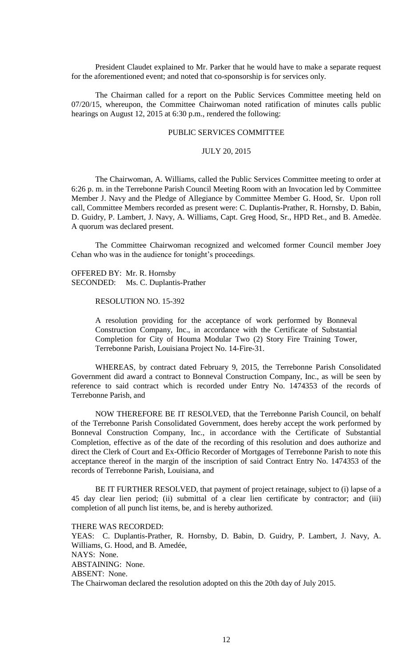President Claudet explained to Mr. Parker that he would have to make a separate request for the aforementioned event; and noted that co-sponsorship is for services only.

The Chairman called for a report on the Public Services Committee meeting held on 07/20/15, whereupon, the Committee Chairwoman noted ratification of minutes calls public hearings on August 12, 2015 at 6:30 p.m., rendered the following:

# PUBLIC SERVICES COMMITTEE

### JULY 20, 2015

The Chairwoman, A. Williams, called the Public Services Committee meeting to order at 6:26 p. m. in the Terrebonne Parish Council Meeting Room with an Invocation led by Committee Member J. Navy and the Pledge of Allegiance by Committee Member G. Hood, Sr. Upon roll call, Committee Members recorded as present were: C. Duplantis-Prather, R. Hornsby, D. Babin, D. Guidry, P. Lambert, J. Navy, A. Williams, Capt. Greg Hood, Sr., HPD Ret., and B. Amedѐe. A quorum was declared present.

The Committee Chairwoman recognized and welcomed former Council member Joey Cehan who was in the audience for tonight's proceedings.

OFFERED BY: Mr. R. Hornsby SECONDED: Ms. C. Duplantis-Prather

RESOLUTION NO. 15-392

A resolution providing for the acceptance of work performed by Bonneval Construction Company, Inc., in accordance with the Certificate of Substantial Completion for City of Houma Modular Two (2) Story Fire Training Tower, Terrebonne Parish, Louisiana Project No. 14-Fire-31.

WHEREAS, by contract dated February 9, 2015, the Terrebonne Parish Consolidated Government did award a contract to Bonneval Construction Company, Inc., as will be seen by reference to said contract which is recorded under Entry No. 1474353 of the records of Terrebonne Parish, and

NOW THEREFORE BE IT RESOLVED, that the Terrebonne Parish Council, on behalf of the Terrebonne Parish Consolidated Government, does hereby accept the work performed by Bonneval Construction Company, Inc., in accordance with the Certificate of Substantial Completion, effective as of the date of the recording of this resolution and does authorize and direct the Clerk of Court and Ex-Officio Recorder of Mortgages of Terrebonne Parish to note this acceptance thereof in the margin of the inscription of said Contract Entry No. 1474353 of the records of Terrebonne Parish, Louisiana, and

BE IT FURTHER RESOLVED, that payment of project retainage, subject to (i) lapse of a 45 day clear lien period; (ii) submittal of a clear lien certificate by contractor; and (iii) completion of all punch list items, be, and is hereby authorized.

THERE WAS RECORDED: YEAS: C. Duplantis-Prather, R. Hornsby, D. Babin, D. Guidry, P. Lambert, J. Navy, A. Williams, G. Hood, and B. Amedée, NAYS: None. ABSTAINING: None. ABSENT: None. The Chairwoman declared the resolution adopted on this the 20th day of July 2015.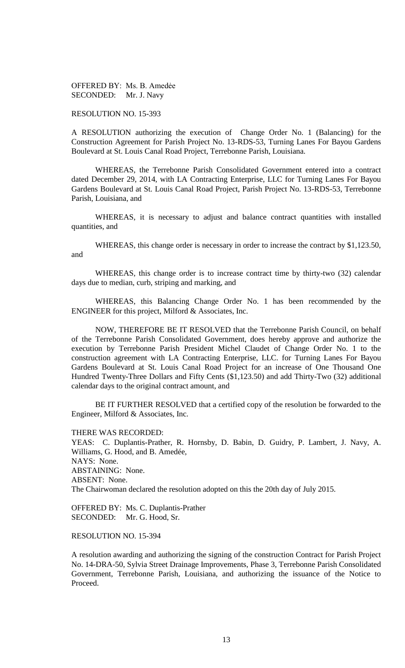OFFERED BY: Ms. B. Amedẻe SECONDED: Mr. J. Navy

RESOLUTION NO. 15-393

A RESOLUTION authorizing the execution of Change Order No. 1 (Balancing) for the Construction Agreement for Parish Project No. 13-RDS-53, Turning Lanes For Bayou Gardens Boulevard at St. Louis Canal Road Project, Terrebonne Parish, Louisiana.

WHEREAS, the Terrebonne Parish Consolidated Government entered into a contract dated December 29, 2014, with LA Contracting Enterprise, LLC for Turning Lanes For Bayou Gardens Boulevard at St. Louis Canal Road Project, Parish Project No. 13-RDS-53, Terrebonne Parish, Louisiana, and

WHEREAS, it is necessary to adjust and balance contract quantities with installed quantities, and

WHEREAS, this change order is necessary in order to increase the contract by \$1,123.50, and

WHEREAS, this change order is to increase contract time by thirty-two (32) calendar days due to median, curb, striping and marking, and

WHEREAS, this Balancing Change Order No. 1 has been recommended by the ENGINEER for this project, Milford & Associates, Inc.

NOW, THEREFORE BE IT RESOLVED that the Terrebonne Parish Council, on behalf of the Terrebonne Parish Consolidated Government, does hereby approve and authorize the execution by Terrebonne Parish President Michel Claudet of Change Order No. 1 to the construction agreement with LA Contracting Enterprise, LLC. for Turning Lanes For Bayou Gardens Boulevard at St. Louis Canal Road Project for an increase of One Thousand One Hundred Twenty-Three Dollars and Fifty Cents (\$1,123.50) and add Thirty-Two (32) additional calendar days to the original contract amount, and

BE IT FURTHER RESOLVED that a certified copy of the resolution be forwarded to the Engineer, Milford & Associates, Inc.

THERE WAS RECORDED:

YEAS: C. Duplantis-Prather, R. Hornsby, D. Babin, D. Guidry, P. Lambert, J. Navy, A. Williams, G. Hood, and B. Amedée, NAYS: None. ABSTAINING: None. ABSENT: None. The Chairwoman declared the resolution adopted on this the 20th day of July 2015.

OFFERED BY: Ms. C. Duplantis-Prather SECONDED: Mr. G. Hood, Sr.

RESOLUTION NO. 15-394

A resolution awarding and authorizing the signing of the construction Contract for Parish Project No. 14-DRA-50, Sylvia Street Drainage Improvements, Phase 3, Terrebonne Parish Consolidated Government, Terrebonne Parish, Louisiana, and authorizing the issuance of the Notice to Proceed.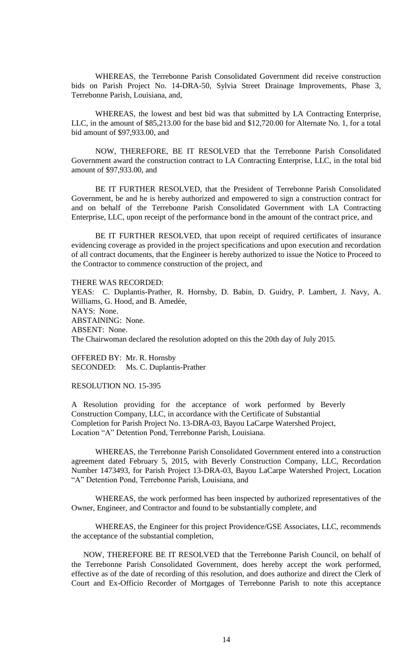WHEREAS, the Terrebonne Parish Consolidated Government did receive construction bids on Parish Project No. 14-DRA-50, Sylvia Street Drainage Improvements, Phase 3, Terrebonne Parish, Louisiana, and,

WHEREAS, the lowest and best bid was that submitted by LA Contracting Enterprise, LLC, in the amount of \$85,213.00 for the base bid and \$12,720.00 for Alternate No. 1, for a total bid amount of \$97,933.00, and

NOW, THEREFORE, BE IT RESOLVED that the Terrebonne Parish Consolidated Government award the construction contract to LA Contracting Enterprise, LLC, in the total bid amount of \$97,933.00, and

BE IT FURTHER RESOLVED, that the President of Terrebonne Parish Consolidated Government, be and he is hereby authorized and empowered to sign a construction contract for and on behalf of the Terrebonne Parish Consolidated Government with LA Contracting Enterprise, LLC, upon receipt of the performance bond in the amount of the contract price, and

BE IT FURTHER RESOLVED, that upon receipt of required certificates of insurance evidencing coverage as provided in the project specifications and upon execution and recordation of all contract documents, that the Engineer is hereby authorized to issue the Notice to Proceed to the Contractor to commence construction of the project, and

THERE WAS RECORDED:

YEAS: C. Duplantis-Prather, R. Hornsby, D. Babin, D. Guidry, P. Lambert, J. Navy, A. Williams, G. Hood, and B. Amedée, NAYS: None. ABSTAINING: None. ABSENT: None. The Chairwoman declared the resolution adopted on this the 20th day of July 2015.

OFFERED BY: Mr. R. Hornsby SECONDED: Ms. C. Duplantis-Prather

RESOLUTION NO. 15-395

A Resolution providing for the acceptance of work performed by Beverly Construction Company, LLC, in accordance with the Certificate of Substantial Completion for Parish Project No. 13-DRA-03, Bayou LaCarpe Watershed Project, Location "A" Detention Pond, Terrebonne Parish, Louisiana.

WHEREAS, the Terrebonne Parish Consolidated Government entered into a construction agreement dated February 5, 2015, with Beverly Construction Company, LLC, Recordation Number 1473493, for Parish Project 13-DRA-03, Bayou LaCarpe Watershed Project, Location "A" Detention Pond, Terrebonne Parish, Louisiana, and

WHEREAS, the work performed has been inspected by authorized representatives of the Owner, Engineer, and Contractor and found to be substantially complete, and

WHEREAS, the Engineer for this project Providence/GSE Associates, LLC, recommends the acceptance of the substantial completion,

NOW, THEREFORE BE IT RESOLVED that the Terrebonne Parish Council, on behalf of the Terrebonne Parish Consolidated Government, does hereby accept the work performed, effective as of the date of recording of this resolution, and does authorize and direct the Clerk of Court and Ex-Officio Recorder of Mortgages of Terrebonne Parish to note this acceptance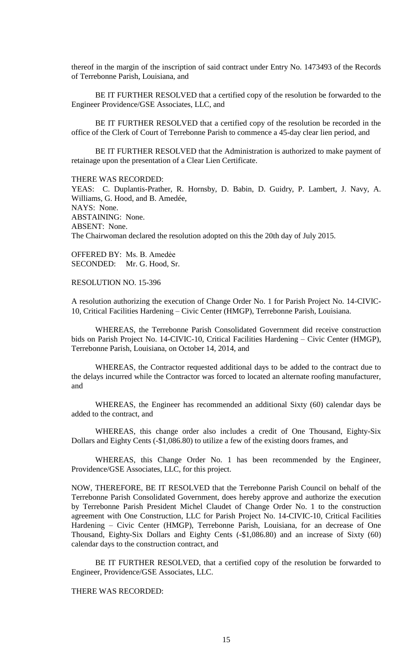thereof in the margin of the inscription of said contract under Entry No. 1473493 of the Records of Terrebonne Parish, Louisiana, and

BE IT FURTHER RESOLVED that a certified copy of the resolution be forwarded to the Engineer Providence/GSE Associates, LLC, and

BE IT FURTHER RESOLVED that a certified copy of the resolution be recorded in the office of the Clerk of Court of Terrebonne Parish to commence a 45-day clear lien period, and

BE IT FURTHER RESOLVED that the Administration is authorized to make payment of retainage upon the presentation of a Clear Lien Certificate.

THERE WAS RECORDED:

YEAS: C. Duplantis-Prather, R. Hornsby, D. Babin, D. Guidry, P. Lambert, J. Navy, A. Williams, G. Hood, and B. Amedée, NAYS: None. ABSTAINING: None. ABSENT: None. The Chairwoman declared the resolution adopted on this the 20th day of July 2015.

OFFERED BY: Ms. B. Amedẻe SECONDED: Mr. G. Hood, Sr.

RESOLUTION NO. 15-396

A resolution authorizing the execution of Change Order No. 1 for Parish Project No. 14-CIVIC-10, Critical Facilities Hardening – Civic Center (HMGP), Terrebonne Parish, Louisiana.

WHEREAS, the Terrebonne Parish Consolidated Government did receive construction bids on Parish Project No. 14-CIVIC-10, Critical Facilities Hardening – Civic Center (HMGP), Terrebonne Parish, Louisiana, on October 14, 2014, and

WHEREAS, the Contractor requested additional days to be added to the contract due to the delays incurred while the Contractor was forced to located an alternate roofing manufacturer, and

WHEREAS, the Engineer has recommended an additional Sixty (60) calendar days be added to the contract, and

WHEREAS, this change order also includes a credit of One Thousand, Eighty-Six Dollars and Eighty Cents (-\$1,086.80) to utilize a few of the existing doors frames, and

WHEREAS, this Change Order No. 1 has been recommended by the Engineer, Providence/GSE Associates, LLC, for this project.

NOW, THEREFORE, BE IT RESOLVED that the Terrebonne Parish Council on behalf of the Terrebonne Parish Consolidated Government, does hereby approve and authorize the execution by Terrebonne Parish President Michel Claudet of Change Order No. 1 to the construction agreement with One Construction, LLC for Parish Project No. 14-CIVIC-10, Critical Facilities Hardening – Civic Center (HMGP), Terrebonne Parish, Louisiana, for an decrease of One Thousand, Eighty-Six Dollars and Eighty Cents (-\$1,086.80) and an increase of Sixty (60) calendar days to the construction contract, and

BE IT FURTHER RESOLVED, that a certified copy of the resolution be forwarded to Engineer, Providence/GSE Associates, LLC.

THERE WAS RECORDED: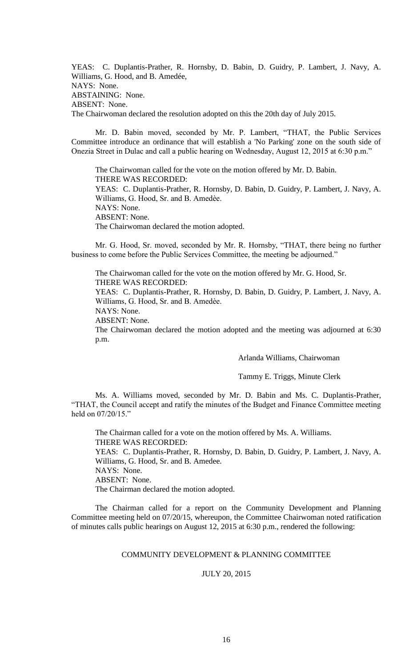YEAS: C. Duplantis-Prather, R. Hornsby, D. Babin, D. Guidry, P. Lambert, J. Navy, A. Williams, G. Hood, and B. Amedée, NAYS: None. ABSTAINING: None. ABSENT: None. The Chairwoman declared the resolution adopted on this the 20th day of July 2015.

Mr. D. Babin moved, seconded by Mr. P. Lambert, "THAT, the Public Services Committee introduce an ordinance that will establish a 'No Parking' zone on the south side of Onezia Street in Dulac and call a public hearing on Wednesday, August 12, 2015 at 6:30 p.m."

The Chairwoman called for the vote on the motion offered by Mr. D. Babin. THERE WAS RECORDED: YEAS: C. Duplantis-Prather, R. Hornsby, D. Babin, D. Guidry, P. Lambert, J. Navy, A. Williams, G. Hood, Sr. and B. Amedèe. NAYS: None. ABSENT: None. The Chairwoman declared the motion adopted.

Mr. G. Hood, Sr. moved, seconded by Mr. R. Hornsby, "THAT, there being no further business to come before the Public Services Committee, the meeting be adjourned."

The Chairwoman called for the vote on the motion offered by Mr. G. Hood, Sr. THERE WAS RECORDED:

YEAS: C. Duplantis-Prather, R. Hornsby, D. Babin, D. Guidry, P. Lambert, J. Navy, A. Williams, G. Hood, Sr. and B. Amedèe.

NAYS: None.

ABSENT: None.

The Chairwoman declared the motion adopted and the meeting was adjourned at 6:30 p.m.

Arlanda Williams, Chairwoman

Tammy E. Triggs, Minute Clerk

Ms. A. Williams moved, seconded by Mr. D. Babin and Ms. C. Duplantis-Prather, "THAT, the Council accept and ratify the minutes of the Budget and Finance Committee meeting held on 07/20/15."

The Chairman called for a vote on the motion offered by Ms. A. Williams. THERE WAS RECORDED: YEAS: C. Duplantis-Prather, R. Hornsby, D. Babin, D. Guidry, P. Lambert, J. Navy, A. Williams, G. Hood, Sr. and B. Amedee. NAYS: None. ABSENT: None. The Chairman declared the motion adopted.

The Chairman called for a report on the Community Development and Planning Committee meeting held on 07/20/15, whereupon, the Committee Chairwoman noted ratification of minutes calls public hearings on August 12, 2015 at 6:30 p.m., rendered the following:

# COMMUNITY DEVELOPMENT & PLANNING COMMITTEE

# JULY 20, 2015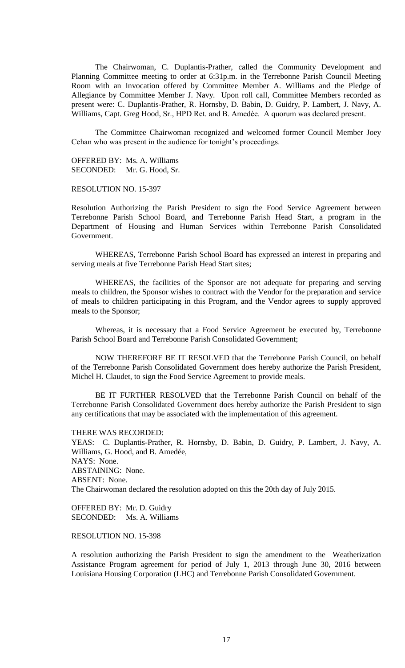The Chairwoman, C. Duplantis-Prather, called the Community Development and Planning Committee meeting to order at 6:31p.m. in the Terrebonne Parish Council Meeting Room with an Invocation offered by Committee Member A. Williams and the Pledge of Allegiance by Committee Member J. Navy. Upon roll call, Committee Members recorded as present were: C. Duplantis-Prather, R. Hornsby, D. Babin, D. Guidry, P. Lambert, J. Navy, A. Williams, Capt. Greg Hood, Sr., HPD Ret. and B. Amedèe. A quorum was declared present.

The Committee Chairwoman recognized and welcomed former Council Member Joey Cehan who was present in the audience for tonight's proceedings.

OFFERED BY: Ms. A. Williams SECONDED: Mr. G. Hood, Sr.

RESOLUTION NO. 15-397

Resolution Authorizing the Parish President to sign the Food Service Agreement between Terrebonne Parish School Board, and Terrebonne Parish Head Start, a program in the Department of Housing and Human Services within Terrebonne Parish Consolidated Government.

WHEREAS, Terrebonne Parish School Board has expressed an interest in preparing and serving meals at five Terrebonne Parish Head Start sites;

WHEREAS, the facilities of the Sponsor are not adequate for preparing and serving meals to children, the Sponsor wishes to contract with the Vendor for the preparation and service of meals to children participating in this Program, and the Vendor agrees to supply approved meals to the Sponsor;

Whereas, it is necessary that a Food Service Agreement be executed by, Terrebonne Parish School Board and Terrebonne Parish Consolidated Government;

NOW THEREFORE BE IT RESOLVED that the Terrebonne Parish Council, on behalf of the Terrebonne Parish Consolidated Government does hereby authorize the Parish President, Michel H. Claudet, to sign the Food Service Agreement to provide meals.

BE IT FURTHER RESOLVED that the Terrebonne Parish Council on behalf of the Terrebonne Parish Consolidated Government does hereby authorize the Parish President to sign any certifications that may be associated with the implementation of this agreement.

THERE WAS RECORDED:

YEAS: C. Duplantis-Prather, R. Hornsby, D. Babin, D. Guidry, P. Lambert, J. Navy, A. Williams, G. Hood, and B. Amedée, NAYS: None. ABSTAINING: None. ABSENT: None. The Chairwoman declared the resolution adopted on this the 20th day of July 2015.

OFFERED BY: Mr. D. Guidry SECONDED: Ms. A. Williams

RESOLUTION NO. 15-398

A resolution authorizing the Parish President to sign the amendment to the Weatherization Assistance Program agreement for period of July 1, 2013 through June 30, 2016 between Louisiana Housing Corporation (LHC) and Terrebonne Parish Consolidated Government.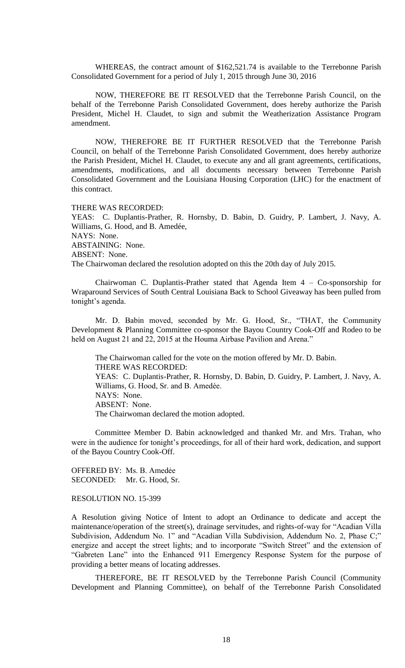WHEREAS, the contract amount of \$162,521.74 is available to the Terrebonne Parish Consolidated Government for a period of July 1, 2015 through June 30, 2016

NOW, THEREFORE BE IT RESOLVED that the Terrebonne Parish Council, on the behalf of the Terrebonne Parish Consolidated Government, does hereby authorize the Parish President, Michel H. Claudet, to sign and submit the Weatherization Assistance Program amendment.

NOW, THEREFORE BE IT FURTHER RESOLVED that the Terrebonne Parish Council, on behalf of the Terrebonne Parish Consolidated Government, does hereby authorize the Parish President, Michel H. Claudet, to execute any and all grant agreements, certifications, amendments, modifications, and all documents necessary between Terrebonne Parish Consolidated Government and the Louisiana Housing Corporation (LHC) for the enactment of this contract.

THERE WAS RECORDED:

YEAS: C. Duplantis-Prather, R. Hornsby, D. Babin, D. Guidry, P. Lambert, J. Navy, A. Williams, G. Hood, and B. Amedée, NAYS: None. ABSTAINING: None. ABSENT: None. The Chairwoman declared the resolution adopted on this the 20th day of July 2015.

Chairwoman C. Duplantis-Prather stated that Agenda Item 4 – Co-sponsorship for Wraparound Services of South Central Louisiana Back to School Giveaway has been pulled from tonight's agenda.

Mr. D. Babin moved, seconded by Mr. G. Hood, Sr., "THAT, the Community Development & Planning Committee co-sponsor the Bayou Country Cook-Off and Rodeo to be held on August 21 and 22, 2015 at the Houma Airbase Pavilion and Arena."

The Chairwoman called for the vote on the motion offered by Mr. D. Babin. THERE WAS RECORDED: YEAS: C. Duplantis-Prather, R. Hornsby, D. Babin, D. Guidry, P. Lambert, J. Navy, A. Williams, G. Hood, Sr. and B. Amedèe. NAYS: None. ABSENT: None. The Chairwoman declared the motion adopted.

Committee Member D. Babin acknowledged and thanked Mr. and Mrs. Trahan, who were in the audience for tonight's proceedings, for all of their hard work, dedication, and support of the Bayou Country Cook-Off.

OFFERED BY: Ms. B. Amedẻe SECONDED: Mr. G. Hood, Sr.

### RESOLUTION NO. 15-399

A Resolution giving Notice of Intent to adopt an Ordinance to dedicate and accept the maintenance/operation of the street(s), drainage servitudes, and rights-of-way for "Acadian Villa Subdivision, Addendum No. 1" and "Acadian Villa Subdivision, Addendum No. 2, Phase C;" energize and accept the street lights; and to incorporate "Switch Street" and the extension of "Gabreten Lane" into the Enhanced 911 Emergency Response System for the purpose of providing a better means of locating addresses.

THEREFORE, BE IT RESOLVED by the Terrebonne Parish Council (Community Development and Planning Committee), on behalf of the Terrebonne Parish Consolidated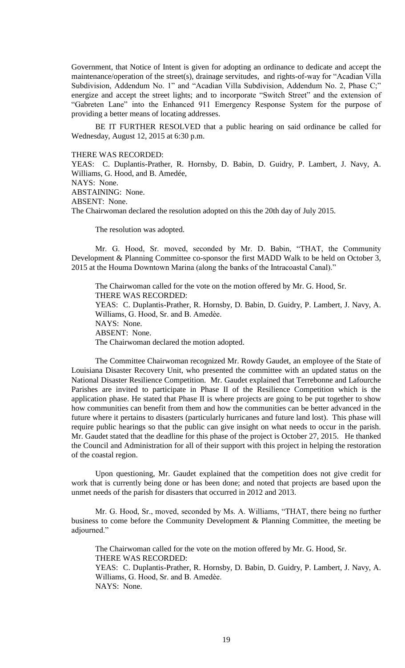Government, that Notice of Intent is given for adopting an ordinance to dedicate and accept the maintenance/operation of the street(s), drainage servitudes, and rights-of-way for "Acadian Villa Subdivision, Addendum No. 1" and "Acadian Villa Subdivision, Addendum No. 2, Phase C;" energize and accept the street lights; and to incorporate "Switch Street" and the extension of "Gabreten Lane" into the Enhanced 911 Emergency Response System for the purpose of providing a better means of locating addresses.

BE IT FURTHER RESOLVED that a public hearing on said ordinance be called for Wednesday, August 12, 2015 at 6:30 p.m.

## THERE WAS RECORDED:

YEAS: C. Duplantis-Prather, R. Hornsby, D. Babin, D. Guidry, P. Lambert, J. Navy, A. Williams, G. Hood, and B. Amedée, NAYS: None. ABSTAINING: None. ABSENT: None. The Chairwoman declared the resolution adopted on this the 20th day of July 2015.

The resolution was adopted.

Mr. G. Hood, Sr. moved, seconded by Mr. D. Babin, "THAT, the Community Development & Planning Committee co-sponsor the first MADD Walk to be held on October 3, 2015 at the Houma Downtown Marina (along the banks of the Intracoastal Canal)."

The Chairwoman called for the vote on the motion offered by Mr. G. Hood, Sr. THERE WAS RECORDED: YEAS: C. Duplantis-Prather, R. Hornsby, D. Babin, D. Guidry, P. Lambert, J. Navy, A. Williams, G. Hood, Sr. and B. Amedèe. NAYS: None. ABSENT: None. The Chairwoman declared the motion adopted.

The Committee Chairwoman recognized Mr. Rowdy Gaudet, an employee of the State of Louisiana Disaster Recovery Unit, who presented the committee with an updated status on the National Disaster Resilience Competition. Mr. Gaudet explained that Terrebonne and Lafourche Parishes are invited to participate in Phase II of the Resilience Competition which is the application phase. He stated that Phase II is where projects are going to be put together to show how communities can benefit from them and how the communities can be better advanced in the future where it pertains to disasters (particularly hurricanes and future land lost). This phase will require public hearings so that the public can give insight on what needs to occur in the parish. Mr. Gaudet stated that the deadline for this phase of the project is October 27, 2015. He thanked the Council and Administration for all of their support with this project in helping the restoration of the coastal region.

Upon questioning, Mr. Gaudet explained that the competition does not give credit for work that is currently being done or has been done; and noted that projects are based upon the unmet needs of the parish for disasters that occurred in 2012 and 2013.

Mr. G. Hood, Sr., moved, seconded by Ms. A. Williams, "THAT, there being no further business to come before the Community Development & Planning Committee, the meeting be adjourned."

The Chairwoman called for the vote on the motion offered by Mr. G. Hood, Sr. THERE WAS RECORDED: YEAS: C. Duplantis-Prather, R. Hornsby, D. Babin, D. Guidry, P. Lambert, J. Navy, A. Williams, G. Hood, Sr. and B. Amedèe. NAYS: None.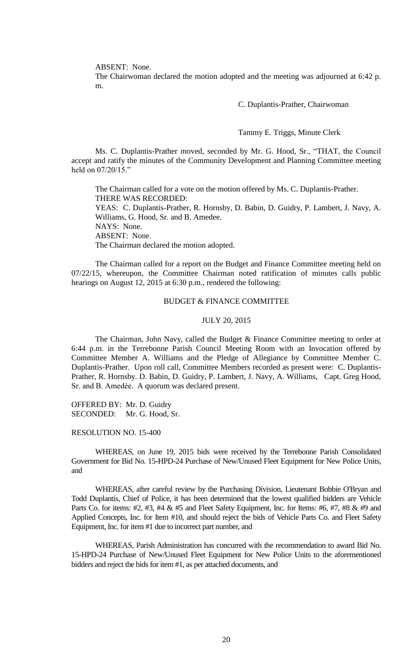ABSENT: None.

The Chairwoman declared the motion adopted and the meeting was adjourned at 6:42 p. m.

C. Duplantis-Prather, Chairwoman

Tammy E. Triggs, Minute Clerk

Ms. C. Duplantis-Prather moved, seconded by Mr. G. Hood, Sr., "THAT, the Council accept and ratify the minutes of the Community Development and Planning Committee meeting held on 07/20/15."

The Chairman called for a vote on the motion offered by Ms. C. Duplantis-Prather. THERE WAS RECORDED: YEAS: C. Duplantis-Prather, R. Hornsby, D. Babin, D. Guidry, P. Lambert, J. Navy, A. Williams, G. Hood, Sr. and B. Amedee. NAYS: None. ABSENT: None. The Chairman declared the motion adopted.

The Chairman called for a report on the Budget and Finance Committee meeting held on 07/22/15, whereupon, the Committee Chairman noted ratification of minutes calls public hearings on August 12, 2015 at 6:30 p.m., rendered the following:

### BUDGET & FINANCE COMMITTEE

#### JULY 20, 2015

The Chairman, John Navy, called the Budget & Finance Committee meeting to order at 6:44 p.m. in the Terrebonne Parish Council Meeting Room with an Invocation offered by Committee Member A. Williams and the Pledge of Allegiance by Committee Member C. Duplantis-Prather. Upon roll call, Committee Members recorded as present were: C. Duplantis-Prather, R. Hornsby. D. Babin, D. Guidry, P. Lambert, J. Navy, A. Williams, Capt. Greg Hood, Sr. and B. Amedѐe. A quorum was declared present.

OFFERED BY: Mr. D. Guidry SECONDED: Mr. G. Hood, Sr.

# RESOLUTION NO. 15-400

WHEREAS, on June 19, 2015 bids were received by the Terrebonne Parish Consolidated Government for Bid No. 15-HPD-24 Purchase of New/Unused Fleet Equipment for New Police Units, and

WHEREAS, after careful review by the Purchasing Division, Lieutenant Bobbie O'Bryan and Todd Duplantis, Chief of Police, it has been determined that the lowest qualified bidders are Vehicle Parts Co. for items: #2, #3, #4 & #5 and Fleet Safety Equipment, Inc. for Items: #6, #7, #8 & #9 and Applied Concepts, Inc. for Item #10, and should reject the bids of Vehicle Parts Co. and Fleet Safety Equipment, Inc. for item #1 due to incorrect part number, and

WHEREAS, Parish Administration has concurred with the recommendation to award Bid No. 15-HPD-24 Purchase of New/Unused Fleet Equipment for New Police Units to the aforementioned bidders and reject the bids for item #1, as per attached documents, and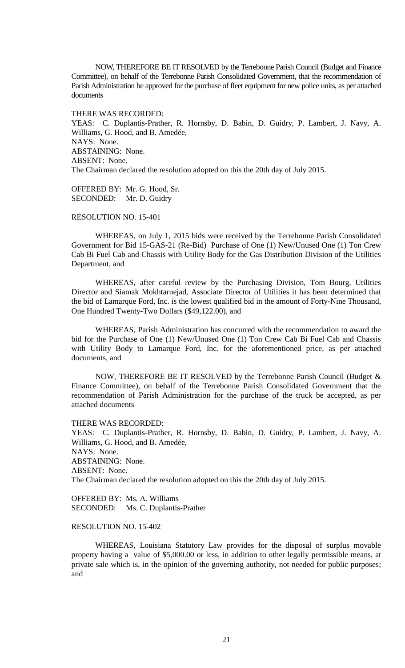NOW, THEREFORE BE IT RESOLVED by the Terrebonne Parish Council (Budget and Finance Committee), on behalf of the Terrebonne Parish Consolidated Government, that the recommendation of Parish Administration be approved for the purchase of fleet equipment for new police units, as per attached documents

THERE WAS RECORDED:

YEAS: C. Duplantis-Prather, R. Hornsby, D. Babin, D. Guidry, P. Lambert, J. Navy, A. Williams, G. Hood, and B. Amedée, NAYS: None. ABSTAINING: None. ABSENT: None. The Chairman declared the resolution adopted on this the 20th day of July 2015.

OFFERED BY: Mr. G. Hood, Sr. SECONDED: Mr. D. Guidry

# RESOLUTION NO. 15-401

WHEREAS, on July 1, 2015 bids were received by the Terrebonne Parish Consolidated Government for Bid 15-GAS-21 (Re-Bid) Purchase of One (1) New/Unused One (1) Ton Crew Cab Bi Fuel Cab and Chassis with Utility Body for the Gas Distribution Division of the Utilities Department, and

WHEREAS, after careful review by the Purchasing Division, Tom Bourg, Utilities Director and Siamak Mokhtarnejad, Associate Director of Utilities it has been determined that the bid of Lamarque Ford, Inc. is the lowest qualified bid in the amount of Forty-Nine Thousand, One Hundred Twenty-Two Dollars (\$49,122.00), and

WHEREAS, Parish Administration has concurred with the recommendation to award the bid for the Purchase of One (1) New/Unused One (1) Ton Crew Cab Bi Fuel Cab and Chassis with Utility Body to Lamarque Ford, Inc. for the aforementioned price, as per attached documents, and

NOW, THEREFORE BE IT RESOLVED by the Terrebonne Parish Council (Budget & Finance Committee), on behalf of the Terrebonne Parish Consolidated Government that the recommendation of Parish Administration for the purchase of the truck be accepted, as per attached documents

THERE WAS RECORDED:

YEAS: C. Duplantis-Prather, R. Hornsby, D. Babin, D. Guidry, P. Lambert, J. Navy, A. Williams, G. Hood, and B. Amedée, NAYS: None. ABSTAINING: None. ABSENT: None. The Chairman declared the resolution adopted on this the 20th day of July 2015.

OFFERED BY: Ms. A. Williams SECONDED: Ms. C. Duplantis-Prather

## RESOLUTION NO. 15-402

WHEREAS, Louisiana Statutory Law provides for the disposal of surplus movable property having a value of \$5,000.00 or less, in addition to other legally permissible means, at private sale which is, in the opinion of the governing authority, not needed for public purposes; and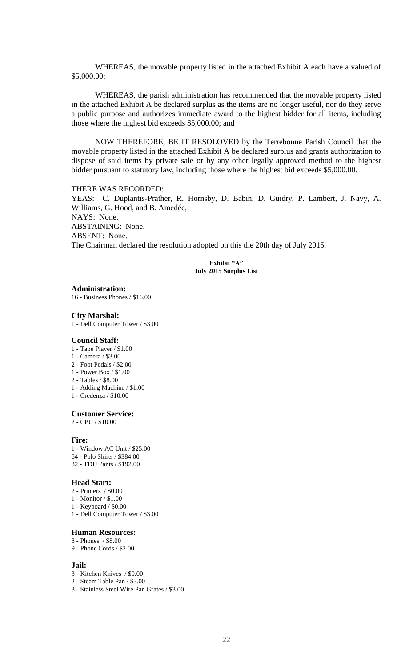WHEREAS, the movable property listed in the attached Exhibit A each have a valued of \$5,000.00;

WHEREAS, the parish administration has recommended that the movable property listed in the attached Exhibit A be declared surplus as the items are no longer useful, nor do they serve a public purpose and authorizes immediate award to the highest bidder for all items, including those where the highest bid exceeds \$5,000.00; and

NOW THEREFORE, BE IT RESOLOVED by the Terrebonne Parish Council that the movable property listed in the attached Exhibit A be declared surplus and grants authorization to dispose of said items by private sale or by any other legally approved method to the highest bidder pursuant to statutory law, including those where the highest bid exceeds \$5,000.00.

### THERE WAS RECORDED:

YEAS: C. Duplantis-Prather, R. Hornsby, D. Babin, D. Guidry, P. Lambert, J. Navy, A. Williams, G. Hood, and B. Amedée, NAYS: None. ABSTAINING: None. ABSENT: None. The Chairman declared the resolution adopted on this the 20th day of July 2015.

> **Exhibit "A" July 2015 Surplus List**

**Administration:**

16 - Business Phones / \$16.00

#### **City Marshal:**

1 - Dell Computer Tower / \$3.00

#### **Council Staff:**

- 1 Tape Player / \$1.00
- 1 Camera / \$3.00
- 2 Foot Pedals / \$2.00
- 1 Power Box / \$1.00
- 2 Tables / \$8.00
- 1 Adding Machine / \$1.00
- 1 Credenza / \$10.00

#### **Customer Service:**

2 - CPU / \$10.00

### **Fire:**

1 - Window AC Unit / \$25.00 64 - Polo Shirts / \$384.00

32 - TDU Pants / \$192.00

#### **Head Start:**

- 2 Printers / \$0.00
- 1 Monitor / \$1.00
- 1 Keyboard / \$0.00
- 1 Dell Computer Tower / \$3.00

#### **Human Resources:**

- 8 Phones / \$8.00
- 9 Phone Cords / \$2.00

### **Jail:**

- 3 Kitchen Knives / \$0.00
- 2 Steam Table Pan / \$3.00
- 3 Stainless Steel Wire Pan Grates / \$3.00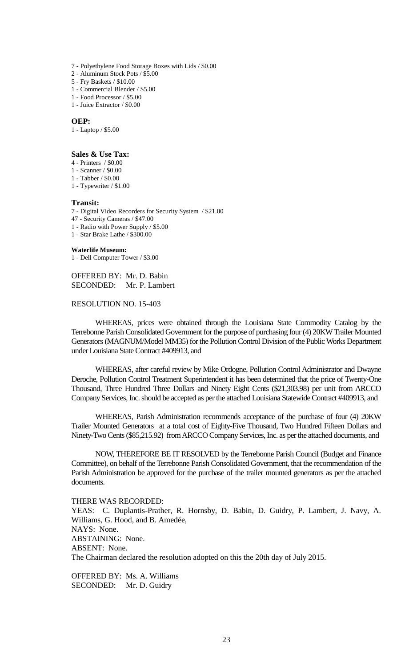- 7 Polyethylene Food Storage Boxes with Lids / \$0.00
- 2 Aluminum Stock Pots / \$5.00
- 5 Fry Baskets / \$10.00
- 1 Commercial Blender / \$5.00
- 1 Food Processor / \$5.00
- 1 Juice Extractor / \$0.00

#### **OEP:**

1 - Laptop / \$5.00

### **Sales & Use Tax:**

- 4 Printers / \$0.00
- 1 Scanner / \$0.00
- 1 Tabber / \$0.00
- 1 Typewriter / \$1.00

#### **Transit:**

- 7 Digital Video Recorders for Security System / \$21.00
- 47 Security Cameras / \$47.00
- 1 Radio with Power Supply / \$5.00
- 1 Star Brake Lathe / \$300.00

#### **Waterlife Museum:**

1 - Dell Computer Tower / \$3.00

OFFERED BY: Mr. D. Babin SECONDED: Mr. P. Lambert

## RESOLUTION NO. 15-403

WHEREAS, prices were obtained through the Louisiana State Commodity Catalog by the Terrebonne Parish Consolidated Government for the purpose of purchasing four (4) 20KW Trailer Mounted Generators (MAGNUM/Model MM35) for the Pollution Control Division of the Public Works Department under Louisiana State Contract #409913, and

WHEREAS, after careful review by Mike Ordogne, Pollution Control Administrator and Dwayne Deroche, Pollution Control Treatment Superintendent it has been determined that the price of Twenty-One Thousand, Three Hundred Three Dollars and Ninety Eight Cents (\$21,303.98) per unit from ARCCO Company Services, Inc. should be accepted as per the attached Louisiana Statewide Contract #409913, and

WHEREAS, Parish Administration recommends acceptance of the purchase of four (4) 20KW Trailer Mounted Generators at a total cost of Eighty-Five Thousand, Two Hundred Fifteen Dollars and Ninety-Two Cents (\$85,215.92) from ARCCO Company Services, Inc. as per the attached documents, and

NOW, THEREFORE BE IT RESOLVED by the Terrebonne Parish Council (Budget and Finance Committee), on behalf of the Terrebonne Parish Consolidated Government, that the recommendation of the Parish Administration be approved for the purchase of the trailer mounted generators as per the attached documents.

THERE WAS RECORDED: YEAS: C. Duplantis-Prather, R. Hornsby, D. Babin, D. Guidry, P. Lambert, J. Navy, A. Williams, G. Hood, and B. Amedée, NAYS: None. ABSTAINING: None. ABSENT: None. The Chairman declared the resolution adopted on this the 20th day of July 2015.

OFFERED BY: Ms. A. Williams SECONDED: Mr. D. Guidry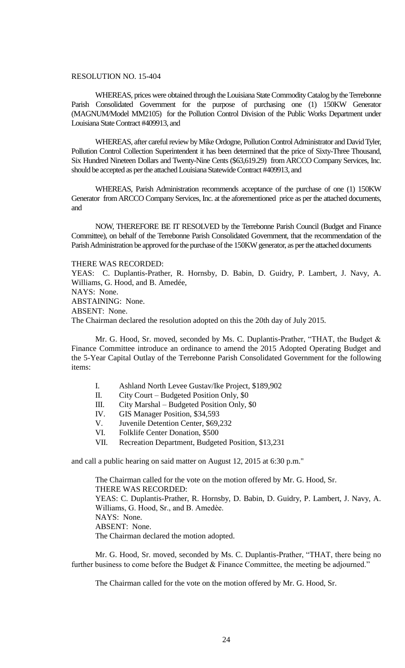# RESOLUTION NO. 15-404

WHEREAS, prices were obtained through the Louisiana State Commodity Catalog by the Terrebonne Parish Consolidated Government for the purpose of purchasing one (1) 150KW Generator (MAGNUM/Model MM2105) for the Pollution Control Division of the Public Works Department under Louisiana State Contract #409913, and

WHEREAS, after careful review by Mike Ordogne, Pollution Control Administrator and David Tyler, Pollution Control Collection Superintendent it has been determined that the price of Sixty-Three Thousand, Six Hundred Nineteen Dollars and Twenty-Nine Cents (\$63,619.29) from ARCCO Company Services, Inc. should be accepted as per the attached Louisiana Statewide Contract #409913, and

WHEREAS, Parish Administration recommends acceptance of the purchase of one (1) 150KW Generator from ARCCO Company Services, Inc. at the aforementioned price as per the attached documents, and

NOW, THEREFORE BE IT RESOLVED by the Terrebonne Parish Council (Budget and Finance Committee), on behalf of the Terrebonne Parish Consolidated Government, that the recommendation of the Parish Administration be approved for the purchase of the 150KW generator, as per the attached documents

#### THERE WAS RECORDED:

YEAS: C. Duplantis-Prather, R. Hornsby, D. Babin, D. Guidry, P. Lambert, J. Navy, A. Williams, G. Hood, and B. Amedée, NAYS: None. ABSTAINING: None. ABSENT: None. The Chairman declared the resolution adopted on this the 20th day of July 2015.

Mr. G. Hood, Sr. moved, seconded by Ms. C. Duplantis-Prather, "THAT, the Budget & Finance Committee introduce an ordinance to amend the 2015 Adopted Operating Budget and the 5-Year Capital Outlay of the Terrebonne Parish Consolidated Government for the following items:

- I. Ashland North Levee Gustav/Ike Project, \$189,902
- II. City Court Budgeted Position Only, \$0
- III. City Marshal Budgeted Position Only, \$0
- IV. GIS Manager Position, \$34,593
- V. Juvenile Detention Center, \$69,232
- VI. Folklife Center Donation, \$500
- VII. Recreation Department, Budgeted Position, \$13,231

and call a public hearing on said matter on August 12, 2015 at 6:30 p.m."

The Chairman called for the vote on the motion offered by Mr. G. Hood, Sr. THERE WAS RECORDED: YEAS: C. Duplantis-Prather, R. Hornsby, D. Babin, D. Guidry, P. Lambert, J. Navy, A. Williams, G. Hood, Sr., and B. Amedèe. NAYS: None. ABSENT: None. The Chairman declared the motion adopted.

Mr. G. Hood, Sr. moved, seconded by Ms. C. Duplantis-Prather, "THAT, there being no further business to come before the Budget & Finance Committee, the meeting be adjourned."

The Chairman called for the vote on the motion offered by Mr. G. Hood, Sr.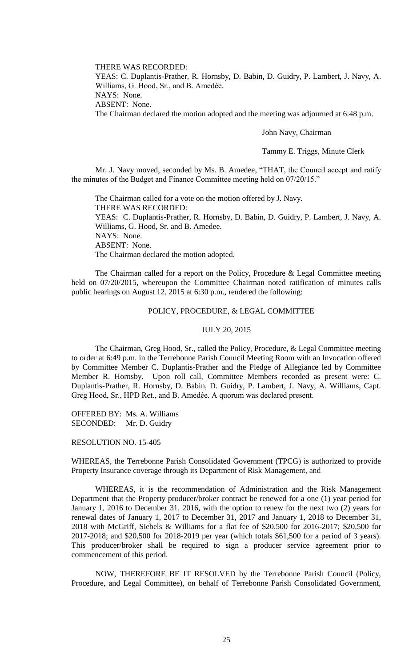THERE WAS RECORDED: YEAS: C. Duplantis-Prather, R. Hornsby, D. Babin, D. Guidry, P. Lambert, J. Navy, A. Williams, G. Hood, Sr., and B. Amedèe. NAYS: None. ABSENT: None. The Chairman declared the motion adopted and the meeting was adjourned at 6:48 p.m.

John Navy, Chairman

Tammy E. Triggs, Minute Clerk

Mr. J. Navy moved, seconded by Ms. B. Amedee, "THAT, the Council accept and ratify the minutes of the Budget and Finance Committee meeting held on 07/20/15."

The Chairman called for a vote on the motion offered by J. Navy. THERE WAS RECORDED: YEAS: C. Duplantis-Prather, R. Hornsby, D. Babin, D. Guidry, P. Lambert, J. Navy, A. Williams, G. Hood, Sr. and B. Amedee. NAYS: None. ABSENT: None. The Chairman declared the motion adopted.

The Chairman called for a report on the Policy, Procedure & Legal Committee meeting held on 07/20/2015, whereupon the Committee Chairman noted ratification of minutes calls public hearings on August 12, 2015 at 6:30 p.m., rendered the following:

## POLICY, PROCEDURE, & LEGAL COMMITTEE

### JULY 20, 2015

The Chairman, Greg Hood, Sr., called the Policy, Procedure, & Legal Committee meeting to order at 6:49 p.m. in the Terrebonne Parish Council Meeting Room with an Invocation offered by Committee Member C. Duplantis-Prather and the Pledge of Allegiance led by Committee Member R. Hornsby. Upon roll call, Committee Members recorded as present were: C. Duplantis-Prather, R. Hornsby, D. Babin, D. Guidry, P. Lambert, J. Navy, A. Williams, Capt. Greg Hood, Sr., HPD Ret., and B. Amedèe. A quorum was declared present.

OFFERED BY: Ms. A. Williams SECONDED: Mr. D. Guidry

RESOLUTION NO. 15-405

WHEREAS, the Terrebonne Parish Consolidated Government (TPCG) is authorized to provide Property Insurance coverage through its Department of Risk Management, and

WHEREAS, it is the recommendation of Administration and the Risk Management Department that the Property producer/broker contract be renewed for a one (1) year period for January 1, 2016 to December 31, 2016, with the option to renew for the next two (2) years for renewal dates of January 1, 2017 to December 31, 2017 and January 1, 2018 to December 31, 2018 with McGriff, Siebels & Williams for a flat fee of \$20,500 for 2016-2017; \$20,500 for 2017-2018; and \$20,500 for 2018-2019 per year (which totals \$61,500 for a period of 3 years). This producer/broker shall be required to sign a producer service agreement prior to commencement of this period.

NOW, THEREFORE BE IT RESOLVED by the Terrebonne Parish Council (Policy, Procedure, and Legal Committee), on behalf of Terrebonne Parish Consolidated Government,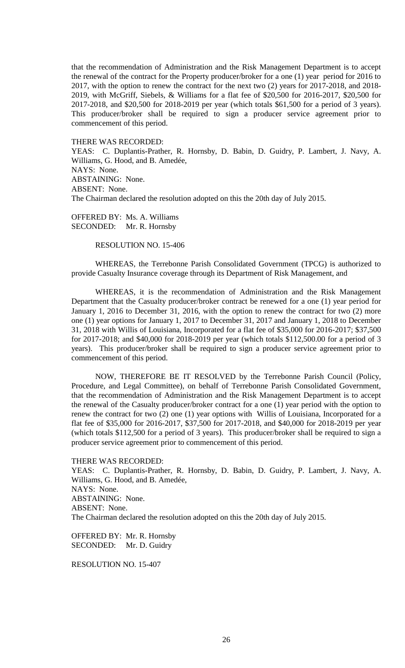that the recommendation of Administration and the Risk Management Department is to accept the renewal of the contract for the Property producer/broker for a one (1) year period for 2016 to 2017, with the option to renew the contract for the next two (2) years for 2017-2018, and 2018- 2019, with McGriff, Siebels, & Williams for a flat fee of \$20,500 for 2016-2017, \$20,500 for 2017-2018, and \$20,500 for 2018-2019 per year (which totals \$61,500 for a period of 3 years). This producer/broker shall be required to sign a producer service agreement prior to commencement of this period.

THERE WAS RECORDED:

YEAS: C. Duplantis-Prather, R. Hornsby, D. Babin, D. Guidry, P. Lambert, J. Navy, A. Williams, G. Hood, and B. Amedée, NAYS: None. ABSTAINING: None. ABSENT: None. The Chairman declared the resolution adopted on this the 20th day of July 2015.

OFFERED BY: Ms. A. Williams SECONDED: Mr. R. Hornsby

RESOLUTION NO. 15-406

WHEREAS, the Terrebonne Parish Consolidated Government (TPCG) is authorized to provide Casualty Insurance coverage through its Department of Risk Management, and

WHEREAS, it is the recommendation of Administration and the Risk Management Department that the Casualty producer/broker contract be renewed for a one (1) year period for January 1, 2016 to December 31, 2016, with the option to renew the contract for two (2) more one (1) year options for January 1, 2017 to December 31, 2017 and January 1, 2018 to December 31, 2018 with Willis of Louisiana, Incorporated for a flat fee of \$35,000 for 2016-2017; \$37,500 for 2017-2018; and \$40,000 for 2018-2019 per year (which totals \$112,500.00 for a period of 3 years). This producer/broker shall be required to sign a producer service agreement prior to commencement of this period.

NOW, THEREFORE BE IT RESOLVED by the Terrebonne Parish Council (Policy, Procedure, and Legal Committee), on behalf of Terrebonne Parish Consolidated Government, that the recommendation of Administration and the Risk Management Department is to accept the renewal of the Casualty producer/broker contract for a one (1) year period with the option to renew the contract for two (2) one (1) year options with Willis of Louisiana, Incorporated for a flat fee of \$35,000 for 2016-2017, \$37,500 for 2017-2018, and \$40,000 for 2018-2019 per year (which totals \$112,500 for a period of 3 years). This producer/broker shall be required to sign a producer service agreement prior to commencement of this period.

THERE WAS RECORDED:

YEAS: C. Duplantis-Prather, R. Hornsby, D. Babin, D. Guidry, P. Lambert, J. Navy, A. Williams, G. Hood, and B. Amedée, NAYS: None. ABSTAINING: None. ABSENT: None. The Chairman declared the resolution adopted on this the 20th day of July 2015.

OFFERED BY: Mr. R. Hornsby SECONDED: Mr. D. Guidry

RESOLUTION NO. 15-407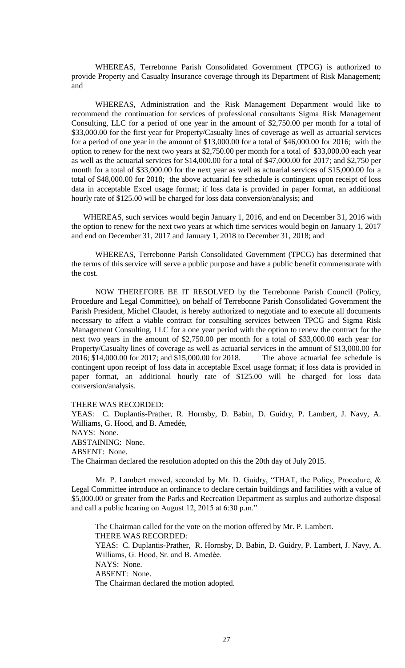WHEREAS, Terrebonne Parish Consolidated Government (TPCG) is authorized to provide Property and Casualty Insurance coverage through its Department of Risk Management; and

WHEREAS, Administration and the Risk Management Department would like to recommend the continuation for services of professional consultants Sigma Risk Management Consulting, LLC for a period of one year in the amount of \$2,750.00 per month for a total of \$33,000.00 for the first year for Property/Casualty lines of coverage as well as actuarial services for a period of one year in the amount of \$13,000.00 for a total of \$46,000.00 for 2016; with the option to renew for the next two years at \$2,750.00 per month for a total of \$33,000.00 each year as well as the actuarial services for \$14,000.00 for a total of \$47,000.00 for 2017; and \$2,750 per month for a total of \$33,000.00 for the next year as well as actuarial services of \$15,000.00 for a total of \$48,000.00 for 2018; the above actuarial fee schedule is contingent upon receipt of loss data in acceptable Excel usage format; if loss data is provided in paper format, an additional hourly rate of \$125.00 will be charged for loss data conversion/analysis; and

WHEREAS, such services would begin January 1, 2016, and end on December 31, 2016 with the option to renew for the next two years at which time services would begin on January 1, 2017 and end on December 31, 2017 and January 1, 2018 to December 31, 2018; and

WHEREAS, Terrebonne Parish Consolidated Government (TPCG) has determined that the terms of this service will serve a public purpose and have a public benefit commensurate with the cost.

NOW THEREFORE BE IT RESOLVED by the Terrebonne Parish Council (Policy, Procedure and Legal Committee), on behalf of Terrebonne Parish Consolidated Government the Parish President, Michel Claudet, is hereby authorized to negotiate and to execute all documents necessary to affect a viable contract for consulting services between TPCG and Sigma Risk Management Consulting, LLC for a one year period with the option to renew the contract for the next two years in the amount of \$2,750.00 per month for a total of \$33,000.00 each year for Property/Casualty lines of coverage as well as actuarial services in the amount of \$13,000.00 for 2016; \$14,000.00 for 2017; and \$15,000.00 for 2018. The above actuarial fee schedule is contingent upon receipt of loss data in acceptable Excel usage format; if loss data is provided in paper format, an additional hourly rate of \$125.00 will be charged for loss data conversion/analysis.

THERE WAS RECORDED:

YEAS: C. Duplantis-Prather, R. Hornsby, D. Babin, D. Guidry, P. Lambert, J. Navy, A. Williams, G. Hood, and B. Amedée, NAYS: None. ABSTAINING: None. ABSENT: None. The Chairman declared the resolution adopted on this the 20th day of July 2015.

Mr. P. Lambert moved, seconded by Mr. D. Guidry, "THAT, the Policy, Procedure, & Legal Committee introduce an ordinance to declare certain buildings and facilities with a value of \$5,000.00 or greater from the Parks and Recreation Department as surplus and authorize disposal and call a public hearing on August 12, 2015 at 6:30 p.m."

The Chairman called for the vote on the motion offered by Mr. P. Lambert. THERE WAS RECORDED: YEAS: C. Duplantis-Prather, R. Hornsby, D. Babin, D. Guidry, P. Lambert, J. Navy, A. Williams, G. Hood, Sr. and B. Amedèe. NAYS: None. ABSENT: None. The Chairman declared the motion adopted.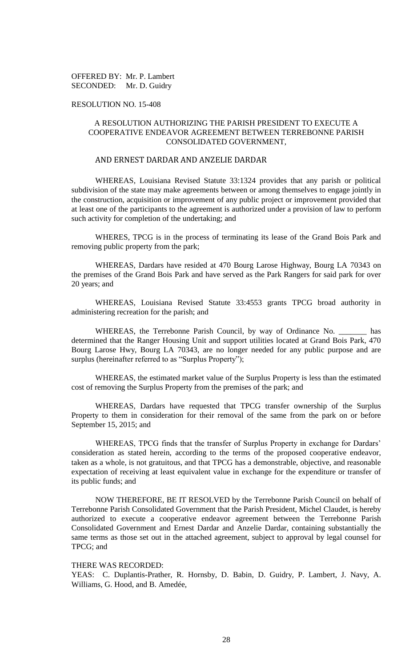OFFERED BY: Mr. P. Lambert SECONDED: Mr. D. Guidry

### RESOLUTION NO. 15-408

# A RESOLUTION AUTHORIZING THE PARISH PRESIDENT TO EXECUTE A COOPERATIVE ENDEAVOR AGREEMENT BETWEEN TERREBONNE PARISH CONSOLIDATED GOVERNMENT,

# AND ERNEST DARDAR AND ANZELIE DARDAR

WHEREAS, Louisiana Revised Statute 33:1324 provides that any parish or political subdivision of the state may make agreements between or among themselves to engage jointly in the construction, acquisition or improvement of any public project or improvement provided that at least one of the participants to the agreement is authorized under a provision of law to perform such activity for completion of the undertaking; and

WHERES, TPCG is in the process of terminating its lease of the Grand Bois Park and removing public property from the park;

WHEREAS, Dardars have resided at 470 Bourg Larose Highway, Bourg LA 70343 on the premises of the Grand Bois Park and have served as the Park Rangers for said park for over 20 years; and

WHEREAS, Louisiana Revised Statute 33:4553 grants TPCG broad authority in administering recreation for the parish; and

WHEREAS, the Terrebonne Parish Council, by way of Ordinance No. \_\_\_\_\_\_\_ has determined that the Ranger Housing Unit and support utilities located at Grand Bois Park, 470 Bourg Larose Hwy, Bourg LA 70343, are no longer needed for any public purpose and are surplus (hereinafter referred to as "Surplus Property");

WHEREAS, the estimated market value of the Surplus Property is less than the estimated cost of removing the Surplus Property from the premises of the park; and

WHEREAS, Dardars have requested that TPCG transfer ownership of the Surplus Property to them in consideration for their removal of the same from the park on or before September 15, 2015; and

WHEREAS, TPCG finds that the transfer of Surplus Property in exchange for Dardars' consideration as stated herein, according to the terms of the proposed cooperative endeavor, taken as a whole, is not gratuitous, and that TPCG has a demonstrable, objective, and reasonable expectation of receiving at least equivalent value in exchange for the expenditure or transfer of its public funds; and

NOW THEREFORE, BE IT RESOLVED by the Terrebonne Parish Council on behalf of Terrebonne Parish Consolidated Government that the Parish President, Michel Claudet, is hereby authorized to execute a cooperative endeavor agreement between the Terrebonne Parish Consolidated Government and Ernest Dardar and Anzelie Dardar, containing substantially the same terms as those set out in the attached agreement, subject to approval by legal counsel for TPCG; and

#### THERE WAS RECORDED:

YEAS: C. Duplantis-Prather, R. Hornsby, D. Babin, D. Guidry, P. Lambert, J. Navy, A. Williams, G. Hood, and B. Amedée,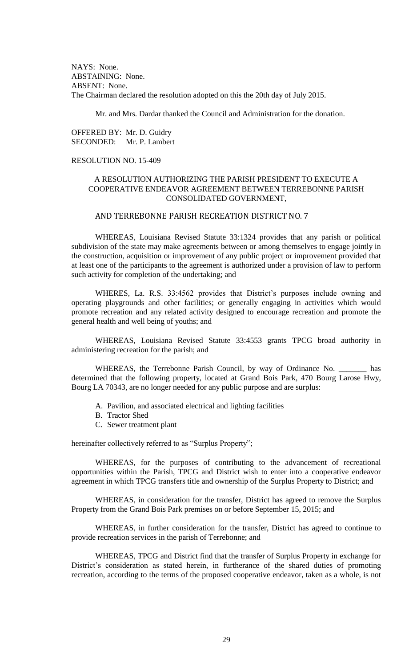NAYS: None. ABSTAINING: None. ABSENT: None. The Chairman declared the resolution adopted on this the 20th day of July 2015.

Mr. and Mrs. Dardar thanked the Council and Administration for the donation.

OFFERED BY: Mr. D. Guidry SECONDED: Mr. P. Lambert

# RESOLUTION NO. 15-409

# A RESOLUTION AUTHORIZING THE PARISH PRESIDENT TO EXECUTE A COOPERATIVE ENDEAVOR AGREEMENT BETWEEN TERREBONNE PARISH CONSOLIDATED GOVERNMENT,

# AND TERREBONNE PARISH RECREATION DISTRICT NO. 7

WHEREAS, Louisiana Revised Statute 33:1324 provides that any parish or political subdivision of the state may make agreements between or among themselves to engage jointly in the construction, acquisition or improvement of any public project or improvement provided that at least one of the participants to the agreement is authorized under a provision of law to perform such activity for completion of the undertaking; and

WHERES, La. R.S. 33:4562 provides that District's purposes include owning and operating playgrounds and other facilities; or generally engaging in activities which would promote recreation and any related activity designed to encourage recreation and promote the general health and well being of youths; and

WHEREAS, Louisiana Revised Statute 33:4553 grants TPCG broad authority in administering recreation for the parish; and

WHEREAS, the Terrebonne Parish Council, by way of Ordinance No. \_\_\_\_\_\_\_ has determined that the following property, located at Grand Bois Park, 470 Bourg Larose Hwy, Bourg LA 70343, are no longer needed for any public purpose and are surplus:

- A. Pavilion, and associated electrical and lighting facilities
- B. Tractor Shed
- C. Sewer treatment plant

hereinafter collectively referred to as "Surplus Property";

WHEREAS, for the purposes of contributing to the advancement of recreational opportunities within the Parish, TPCG and District wish to enter into a cooperative endeavor agreement in which TPCG transfers title and ownership of the Surplus Property to District; and

WHEREAS, in consideration for the transfer, District has agreed to remove the Surplus Property from the Grand Bois Park premises on or before September 15, 2015; and

WHEREAS, in further consideration for the transfer, District has agreed to continue to provide recreation services in the parish of Terrebonne; and

WHEREAS, TPCG and District find that the transfer of Surplus Property in exchange for District's consideration as stated herein, in furtherance of the shared duties of promoting recreation, according to the terms of the proposed cooperative endeavor, taken as a whole, is not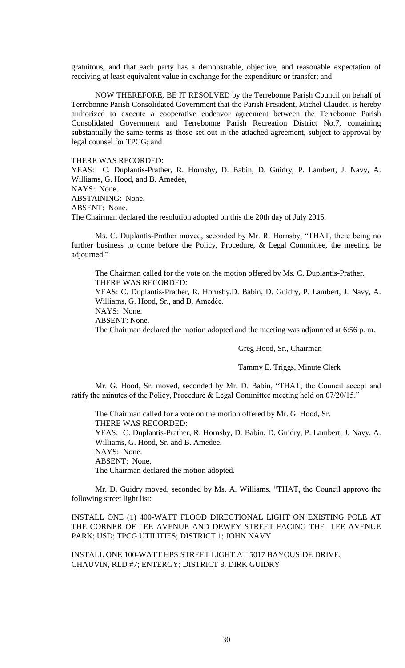gratuitous, and that each party has a demonstrable, objective, and reasonable expectation of receiving at least equivalent value in exchange for the expenditure or transfer; and

NOW THEREFORE, BE IT RESOLVED by the Terrebonne Parish Council on behalf of Terrebonne Parish Consolidated Government that the Parish President, Michel Claudet, is hereby authorized to execute a cooperative endeavor agreement between the Terrebonne Parish Consolidated Government and Terrebonne Parish Recreation District No.7, containing substantially the same terms as those set out in the attached agreement, subject to approval by legal counsel for TPCG; and

THERE WAS RECORDED:

YEAS: C. Duplantis-Prather, R. Hornsby, D. Babin, D. Guidry, P. Lambert, J. Navy, A. Williams, G. Hood, and B. Amedée, NAYS: None. ABSTAINING: None. ABSENT: None.

The Chairman declared the resolution adopted on this the 20th day of July 2015.

Ms. C. Duplantis-Prather moved, seconded by Mr. R. Hornsby, "THAT, there being no further business to come before the Policy, Procedure, & Legal Committee, the meeting be adjourned."

The Chairman called for the vote on the motion offered by Ms. C. Duplantis-Prather. THERE WAS RECORDED:

YEAS: C. Duplantis-Prather, R. Hornsby.D. Babin, D. Guidry, P. Lambert, J. Navy, A. Williams, G. Hood, Sr., and B. Amedèe.

NAYS: None.

ABSENT: None.

The Chairman declared the motion adopted and the meeting was adjourned at 6:56 p. m.

Greg Hood, Sr., Chairman

Tammy E. Triggs, Minute Clerk

Mr. G. Hood, Sr. moved, seconded by Mr. D. Babin, "THAT, the Council accept and ratify the minutes of the Policy, Procedure & Legal Committee meeting held on 07/20/15."

The Chairman called for a vote on the motion offered by Mr. G. Hood, Sr. THERE WAS RECORDED: YEAS: C. Duplantis-Prather, R. Hornsby, D. Babin, D. Guidry, P. Lambert, J. Navy, A. Williams, G. Hood, Sr. and B. Amedee. NAYS: None. ABSENT: None. The Chairman declared the motion adopted.

Mr. D. Guidry moved, seconded by Ms. A. Williams, "THAT, the Council approve the following street light list:

INSTALL ONE (1) 400-WATT FLOOD DIRECTIONAL LIGHT ON EXISTING POLE AT THE CORNER OF LEE AVENUE AND DEWEY STREET FACING THE LEE AVENUE PARK; USD; TPCG UTILITIES; DISTRICT 1; JOHN NAVY

INSTALL ONE 100-WATT HPS STREET LIGHT AT 5017 BAYOUSIDE DRIVE, CHAUVIN, RLD #7; ENTERGY; DISTRICT 8, DIRK GUIDRY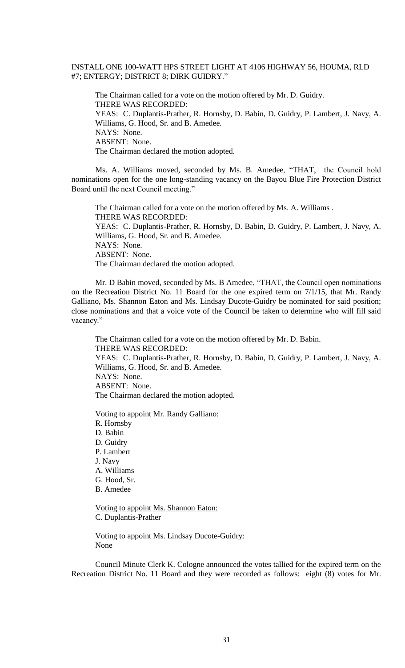# INSTALL ONE 100-WATT HPS STREET LIGHT AT 4106 HIGHWAY 56, HOUMA, RLD #7; ENTERGY; DISTRICT 8; DIRK GUIDRY."

The Chairman called for a vote on the motion offered by Mr. D. Guidry. THERE WAS RECORDED: YEAS: C. Duplantis-Prather, R. Hornsby, D. Babin, D. Guidry, P. Lambert, J. Navy, A. Williams, G. Hood, Sr. and B. Amedee. NAYS: None. ABSENT: None. The Chairman declared the motion adopted.

Ms. A. Williams moved, seconded by Ms. B. Amedee, "THAT, the Council hold nominations open for the one long-standing vacancy on the Bayou Blue Fire Protection District Board until the next Council meeting."

The Chairman called for a vote on the motion offered by Ms. A. Williams . THERE WAS RECORDED: YEAS: C. Duplantis-Prather, R. Hornsby, D. Babin, D. Guidry, P. Lambert, J. Navy, A. Williams, G. Hood, Sr. and B. Amedee. NAYS: None. ABSENT: None. The Chairman declared the motion adopted.

Mr. D Babin moved, seconded by Ms. B Amedee, "THAT, the Council open nominations on the Recreation District No. 11 Board for the one expired term on 7/1/15, that Mr. Randy Galliano, Ms. Shannon Eaton and Ms. Lindsay Ducote-Guidry be nominated for said position; close nominations and that a voice vote of the Council be taken to determine who will fill said vacancy."

The Chairman called for a vote on the motion offered by Mr. D. Babin. THERE WAS RECORDED: YEAS: C. Duplantis-Prather, R. Hornsby, D. Babin, D. Guidry, P. Lambert, J. Navy, A.

Williams, G. Hood, Sr. and B. Amedee.

NAYS: None. ABSENT: None.

The Chairman declared the motion adopted.

Voting to appoint Mr. Randy Galliano:

R. Hornsby D. Babin D. Guidry P. Lambert J. Navy A. Williams G. Hood, Sr. B. Amedee

Voting to appoint Ms. Shannon Eaton: C. Duplantis-Prather

Voting to appoint Ms. Lindsay Ducote-Guidry: None

Council Minute Clerk K. Cologne announced the votes tallied for the expired term on the Recreation District No. 11 Board and they were recorded as follows: eight (8) votes for Mr.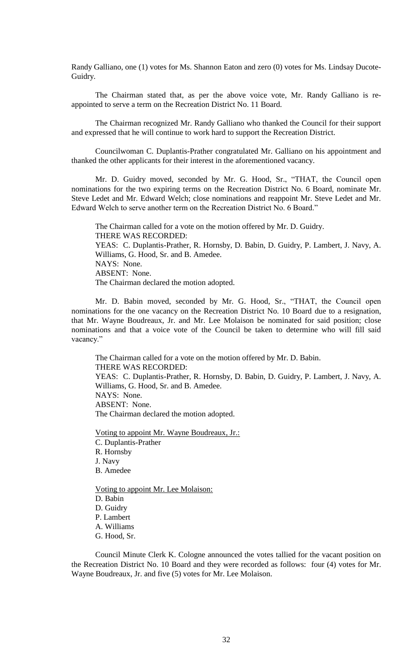Randy Galliano, one (1) votes for Ms. Shannon Eaton and zero (0) votes for Ms. Lindsay Ducote-Guidry.

The Chairman stated that, as per the above voice vote, Mr. Randy Galliano is reappointed to serve a term on the Recreation District No. 11 Board.

The Chairman recognized Mr. Randy Galliano who thanked the Council for their support and expressed that he will continue to work hard to support the Recreation District.

Councilwoman C. Duplantis-Prather congratulated Mr. Galliano on his appointment and thanked the other applicants for their interest in the aforementioned vacancy.

Mr. D. Guidry moved, seconded by Mr. G. Hood, Sr., "THAT, the Council open nominations for the two expiring terms on the Recreation District No. 6 Board, nominate Mr. Steve Ledet and Mr. Edward Welch; close nominations and reappoint Mr. Steve Ledet and Mr. Edward Welch to serve another term on the Recreation District No. 6 Board."

The Chairman called for a vote on the motion offered by Mr. D. Guidry. THERE WAS RECORDED: YEAS: C. Duplantis-Prather, R. Hornsby, D. Babin, D. Guidry, P. Lambert, J. Navy, A. Williams, G. Hood, Sr. and B. Amedee. NAYS: None. ABSENT: None. The Chairman declared the motion adopted.

Mr. D. Babin moved, seconded by Mr. G. Hood, Sr., "THAT, the Council open nominations for the one vacancy on the Recreation District No. 10 Board due to a resignation, that Mr. Wayne Boudreaux, Jr. and Mr. Lee Molaison be nominated for said position; close nominations and that a voice vote of the Council be taken to determine who will fill said vacancy."

The Chairman called for a vote on the motion offered by Mr. D. Babin. THERE WAS RECORDED: YEAS: C. Duplantis-Prather, R. Hornsby, D. Babin, D. Guidry, P. Lambert, J. Navy, A. Williams, G. Hood, Sr. and B. Amedee. NAYS: None. ABSENT: None. The Chairman declared the motion adopted.

Voting to appoint Mr. Wayne Boudreaux, Jr.: C. Duplantis-Prather R. Hornsby J. Navy B. Amedee

Voting to appoint Mr. Lee Molaison: D. Babin D. Guidry P. Lambert A. Williams G. Hood, Sr.

Council Minute Clerk K. Cologne announced the votes tallied for the vacant position on the Recreation District No. 10 Board and they were recorded as follows: four (4) votes for Mr. Wayne Boudreaux, Jr. and five (5) votes for Mr. Lee Molaison.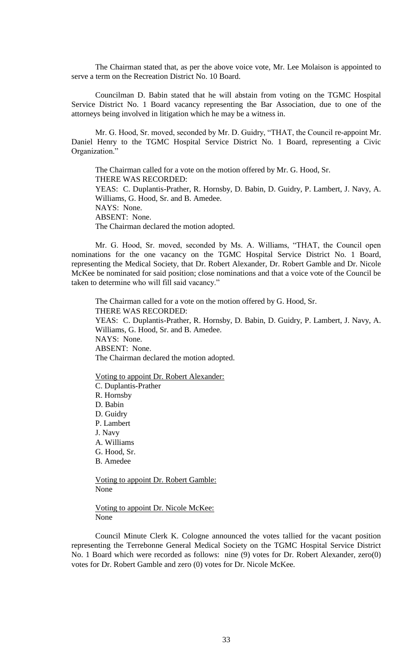The Chairman stated that, as per the above voice vote, Mr. Lee Molaison is appointed to serve a term on the Recreation District No. 10 Board.

Councilman D. Babin stated that he will abstain from voting on the TGMC Hospital Service District No. 1 Board vacancy representing the Bar Association, due to one of the attorneys being involved in litigation which he may be a witness in.

Mr. G. Hood, Sr. moved, seconded by Mr. D. Guidry, "THAT, the Council re-appoint Mr. Daniel Henry to the TGMC Hospital Service District No. 1 Board, representing a Civic Organization."

The Chairman called for a vote on the motion offered by Mr. G. Hood, Sr. THERE WAS RECORDED: YEAS: C. Duplantis-Prather, R. Hornsby, D. Babin, D. Guidry, P. Lambert, J. Navy, A. Williams, G. Hood, Sr. and B. Amedee. NAYS: None. ABSENT: None. The Chairman declared the motion adopted.

Mr. G. Hood, Sr. moved, seconded by Ms. A. Williams, "THAT, the Council open nominations for the one vacancy on the TGMC Hospital Service District No. 1 Board, representing the Medical Society, that Dr. Robert Alexander, Dr. Robert Gamble and Dr. Nicole McKee be nominated for said position; close nominations and that a voice vote of the Council be taken to determine who will fill said vacancy."

The Chairman called for a vote on the motion offered by G. Hood, Sr. THERE WAS RECORDED: YEAS: C. Duplantis-Prather, R. Hornsby, D. Babin, D. Guidry, P. Lambert, J. Navy, A. Williams, G. Hood, Sr. and B. Amedee. NAYS: None. ABSENT: None. The Chairman declared the motion adopted.

Voting to appoint Dr. Robert Alexander: C. Duplantis-Prather R. Hornsby D. Babin D. Guidry P. Lambert J. Navy A. Williams G. Hood, Sr. B. Amedee

Voting to appoint Dr. Robert Gamble: None

Voting to appoint Dr. Nicole McKee: None

Council Minute Clerk K. Cologne announced the votes tallied for the vacant position representing the Terrebonne General Medical Society on the TGMC Hospital Service District No. 1 Board which were recorded as follows: nine (9) votes for Dr. Robert Alexander, zero(0) votes for Dr. Robert Gamble and zero (0) votes for Dr. Nicole McKee.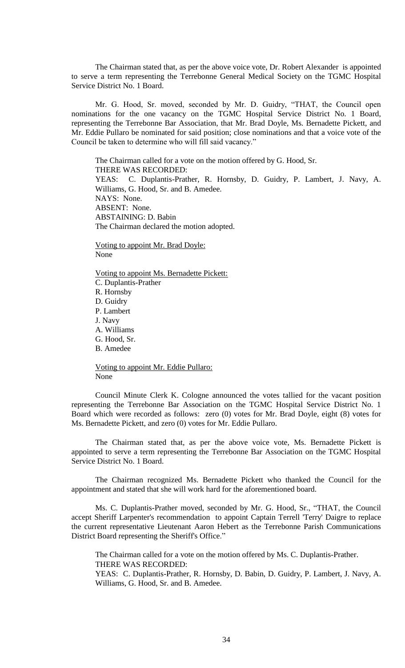The Chairman stated that, as per the above voice vote, Dr. Robert Alexander is appointed to serve a term representing the Terrebonne General Medical Society on the TGMC Hospital Service District No. 1 Board.

Mr. G. Hood, Sr. moved, seconded by Mr. D. Guidry, "THAT, the Council open nominations for the one vacancy on the TGMC Hospital Service District No. 1 Board, representing the Terrebonne Bar Association, that Mr. Brad Doyle, Ms. Bernadette Pickett, and Mr. Eddie Pullaro be nominated for said position; close nominations and that a voice vote of the Council be taken to determine who will fill said vacancy."

The Chairman called for a vote on the motion offered by G. Hood, Sr. THERE WAS RECORDED: YEAS: C. Duplantis-Prather, R. Hornsby, D. Guidry, P. Lambert, J. Navy, A. Williams, G. Hood, Sr. and B. Amedee. NAYS: None. ABSENT: None. ABSTAINING: D. Babin The Chairman declared the motion adopted.

Voting to appoint Mr. Brad Doyle: None

Voting to appoint Ms. Bernadette Pickett: C. Duplantis-Prather R. Hornsby D. Guidry P. Lambert J. Navy A. Williams G. Hood, Sr. B. Amedee

Voting to appoint Mr. Eddie Pullaro: None

Council Minute Clerk K. Cologne announced the votes tallied for the vacant position representing the Terrebonne Bar Association on the TGMC Hospital Service District No. 1 Board which were recorded as follows: zero (0) votes for Mr. Brad Doyle, eight (8) votes for Ms. Bernadette Pickett, and zero (0) votes for Mr. Eddie Pullaro.

The Chairman stated that, as per the above voice vote, Ms. Bernadette Pickett is appointed to serve a term representing the Terrebonne Bar Association on the TGMC Hospital Service District No. 1 Board.

The Chairman recognized Ms. Bernadette Pickett who thanked the Council for the appointment and stated that she will work hard for the aforementioned board.

Ms. C. Duplantis-Prather moved, seconded by Mr. G. Hood, Sr., "THAT, the Council accept Sheriff Larpenter's recommendation to appoint Captain Terrell 'Terry' Daigre to replace the current representative Lieutenant Aaron Hebert as the Terrebonne Parish Communications District Board representing the Sheriff's Office."

The Chairman called for a vote on the motion offered by Ms. C. Duplantis-Prather. THERE WAS RECORDED: YEAS: C. Duplantis-Prather, R. Hornsby, D. Babin, D. Guidry, P. Lambert, J. Navy, A. Williams, G. Hood, Sr. and B. Amedee.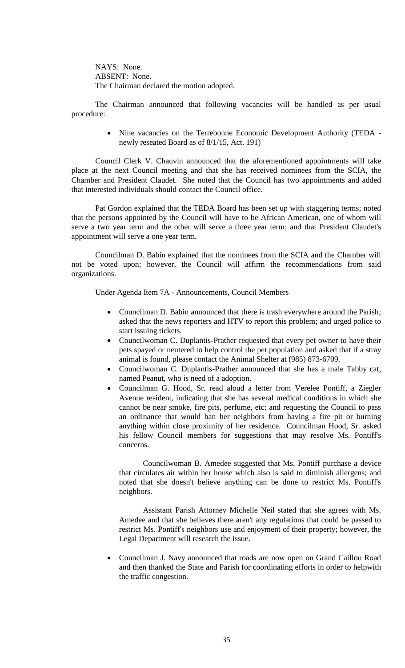NAYS: None. ABSENT: None. The Chairman declared the motion adopted.

The Chairman announced that following vacancies will be handled as per usual procedure:

> Nine vacancies on the Terrebonne Economic Development Authority (TEDA newly reseated Board as of 8/1/15, Act. 191)

Council Clerk V. Chauvin announced that the aforementioned appointments will take place at the next Council meeting and that she has received nominees from the SCIA, the Chamber and President Claudet. She noted that the Council has two appointments and added that interested individuals should contact the Council office.

Pat Gordon explained that the TEDA Board has been set up with staggering terms; noted that the persons appointed by the Council will have to be African American, one of whom will serve a two year term and the other will serve a three year term; and that President Claudet's appointment will serve a one year term.

Councilman D. Babin explained that the nominees from the SCIA and the Chamber will not be voted upon; however, the Council will affirm the recommendations from said organizations.

Under Agenda Item 7A - Announcements, Council Members

- Councilman D. Babin announced that there is trash everywhere around the Parish; asked that the news reporters and HTV to report this problem; and urged police to start issuing tickets.
- Councilwoman C. Duplantis-Prather requested that every pet owner to have their pets spayed or neutered to help control the pet population and asked that if a stray animal is found, please contact the Animal Shelter at (985) 873-6709.
- Councilwoman C. Duplantis-Prather announced that she has a male Tabby cat, named Peanut, who is need of a adoption.
- Councilman G. Hood, Sr. read aloud a letter from Verelee Pontiff, a Ziegler Avenue resident, indicating that she has several medical conditions in which she cannot be near smoke, fire pits, perfume, etc; and requesting the Council to pass an ordinance that would ban her neighbors from having a fire pit or burning anything within close proximity of her residence. Councilman Hood, Sr. asked his fellow Council members for suggestions that may resolve Ms. Pontiff's concerns.

Councilwoman B. Amedee suggested that Ms. Pontiff purchase a device that circulates air within her house which also is said to diminish allergens; and noted that she doesn't believe anything can be done to restrict Ms. Pontiff's neighbors.

Assistant Parish Attorney Michelle Neil stated that she agrees with Ms. Amedee and that she believes there aren't any regulations that could be passed to restrict Ms. Pontiff's neighbors use and enjoyment of their property; however, the Legal Department will research the issue.

 Councilman J. Navy announced that roads are now open on Grand Caillou Road and then thanked the State and Parish for coordinating efforts in order to helpwith the traffic congestion.